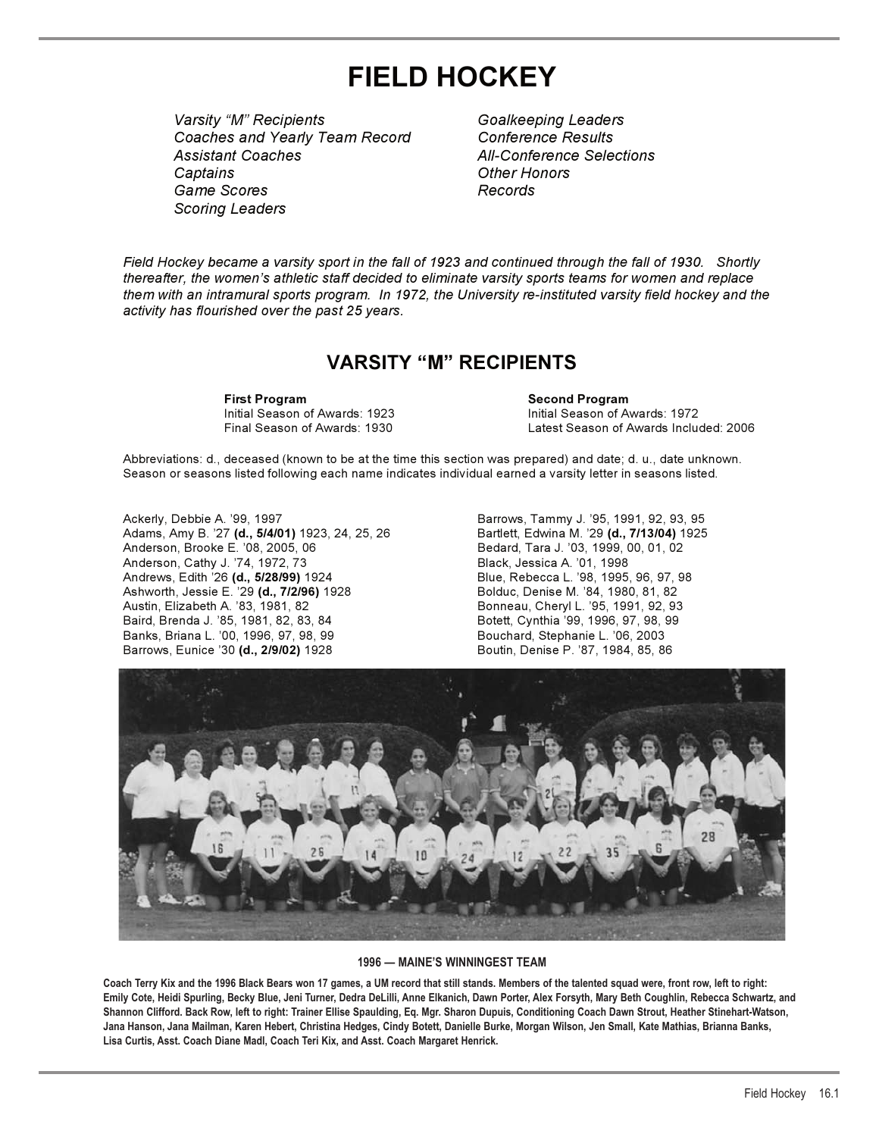# **FIELD HOCKEY**

*Varsity "M" Recipients Goalkeeping Leaders Coaches and Yearly Team Record Conference Results Assistant Coaches All-Conference Selections Captains Other Honors* Game Scores *Scoring Leaders*

*Field Hockey became a varsity sport in the fall of 1923 and continued through the fall of 1930. Shortly thereafter, the women's athletic staff decided to eliminate varsity sports teams for women and replace them with an intramural sports program. In 1972, the University re-instituted varsity field hockey and the activity has flourished over the past 25 years.*

# **VARSITY "M" RECIPIENTS**

**First Program Second Program Second Program**<br>
Initial Season of Awards: 1923 **Second Program** 

Initial Season of Awards: 1923 Initial Season of Awards: 1972 Final Season of Awards: 1930 Latest Season of Awards Included: 2006

Abbreviations: d., deceased (known to be at the time this section was prepared) and date; d. u., date unknown. Season or seasons listed following each name indicates individual earned a varsity letter in seasons listed.

Ackerly, Debbie A. '99, 1997 **Barrows, Tammy J. '95, 1991, 92, 93, 95** Adams, Amy B. '27 **(d., 5/4/01)** 1923, 24, 25, 26 Bartlett, Edwina M. '29 **(d., 7/13/04)** 1925 Anderson, Brooke E. '08, 2005, 06 Bedard, Tara J. '03, 1999, 00, 01, 02 Anderson, Cathy J. '74, 1972, 73 Black, Jessica A. '01, 1998 Ashworth, Jessie E. '29 **(d., 7/2/96)** 1928 Bolduc, Denise M. '84, 1980, 81, 82<br>Austin, Elizabeth A. '83, 1981, 82 Baird, Brenda J. '85, 1981, 82, 83, 84 Botett, Cynthia '99, 1996, 97, 98, 99 Banks, Briana L. '00, 1996, 97, 98, 99 Bouchard, Stephanie L. '06, 2003 Barrows, Eunice '30 (d., 2/9/02) 1928 **Boutin, Denise P. '87, 1984, 85, 86** 

Blue, Rebecca L. '98, 1995, 96, 97, 98 Bonneau, Cheryl L. '95, 1991, 92, 93



#### **1996 — MAINE'S WINNINGEST TEAM**

**Coach Terry Kix and the 1996 Black Bears won 17 games, a UM record that still stands. Members of the talented squad were, front row, left to right: Emily Cote, Heidi Spurling, Becky Blue, Jeni Turner, Dedra DeLilli, Anne Elkanich, Dawn Porter, Alex Forsyth, Mary Beth Coughlin, Rebecca Schwartz, and Shannon Clifford. Back Row, left to right: Trainer Ellise Spaulding, Eq. Mgr. Sharon Dupuis, Conditioning Coach Dawn Strout, Heather Stinehart-Watson, Jana Hanson, Jana Mailman, Karen Hebert, Christina Hedges, Cindy Botett, Danielle Burke, Morgan Wilson, Jen Small, Kate Mathias, Brianna Banks, Lisa Curtis, Asst. Coach Diane Madl, Coach Teri Kix, and Asst. Coach Margaret Henrick.**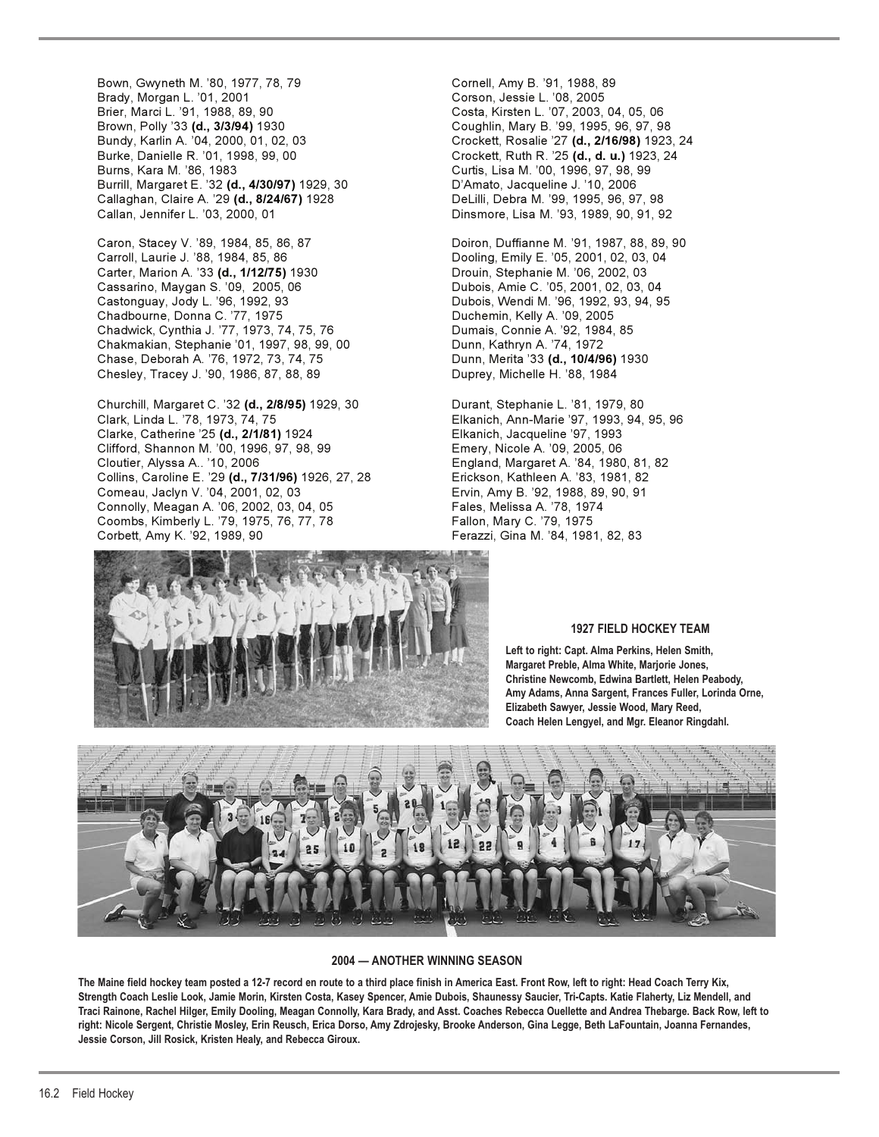Bown, Gwyneth M. '80, 1977, 78, 79 Cornell, Amy B. '91, 1988, 89 Brady, Morgan L. '01, 2001 Corson, Jessie L. '08, 2005 Brown, Polly '33 **(d., 3/3/94)** 1930 Coughlin, Mary B. '99, 1995, 96, 97, 98 Bundy, Karlin A. '04, 2000, 01, 02, 03 Crockett, Rosalie '27 **(d., 2/16/98)** 1923, 24 Burns, Kara M. '86, 1983 Curtis, Lisa M. '00, 1996, 97, 98, 99 Burrill, Margaret E. '32 **(d., 4/30/97)** 1929, 30 D'Amato, Jacqueline J. '10, 2006 Callaghan, Claire A. '29 **(d., 8/24/67)** 1928 DeLilli, Debra M. '99, 1995, 96, 97, 98 Callan, Jennifer L. '03, 2000, 01 Dinsmore, Lisa M. '93, 1989, 90, 91, 92

Carroll, Laurie J. '88, 1984, 85, 86 Dooling, Emily E. '05, 2001, 02, 03, 04 Carter, Marion A. '33 **(d., 1/12/75)** 1930 Drouin, Stephanie M. '06, 2002, 03 Cassarino, Maygan S. '09, 2005, 06 Dubois, Amie C. '05, 2001, 02, 03, 04 Chadbourne, Donna C. '77, 1975<br>Chadwick, Cynthia J. '77, 1973, 74, 75, 76 Dumais, Connie A. '92, 1984, 85 Chadwick, Cynthia J. '77, 1973, 74, 75, 76 Chakmakian, Stephanie '01, 1997, 98, 99, 00 Dunn, Kathryn A. '74, 1972 Chase, Deborah A. '76, 1972, 73, 74, 75 Dunn, Merita '33 **(d., 10/4/96)** 1930 Chesley, Tracey J. '90, 1986, 87, 88, 89 Duprey, Michelle H. '88, 1984

Churchill, Margaret C. '32 **(d., 2/8/95)** 1929, 30 Durant, Stephanie L. '81, 1979, 80 Clark, Linda L. '78, 1973, 74, 75 Elkanich, Ann-Marie '97, 1993, 94, 95, 96 Clarke, Catherine '25 **(d., 2/1/81)** 1924 Elkanich, Jacqueline '97, 1993 Clifford, Shannon M. '00, 1996, 97, 98, 99 Cloutier, Alyssa A.. '10, 2006 England, Margaret A. '84, 1980, 81, 82 Collins, Caroline E. '29 **(d., 7/31/96)** 1926, 27, 28 Erickson, Kathleen A. '83, 1981, 82 Comeau, Jaclyn V. '04, 2001, 02, 03 Ervin, Amy B. '92, 1988, 89, 90, 91 Connolly, Meagan A. '06, 2002, 03, 04, 05 Fales, Melissa A. '78, 1974<br>Coombs, Kimberly L. '79, 1975, 76, 77, 78 Fallon, Mary C. '79, 1975 Coombs, Kimberly L. '79, 1975, 76, 77, 78 Corbett, Amy K. '92, 1989, 90 Ferazzi, Gina M. '84, 1981, 82, 83

Costa, Kirsten L. '07, 2003, 04, 05, 06 Burke, Danielle R. '01, 1998, 99, 00 Crockett, Ruth R. '25 **(d., d. u.)** 1923, 24

Caron, Stacey V. '89, 1984, 85, 86, 87 Doiron, Duffianne M. '91, 1987, 88, 89, 90 Dubois, Wendi M. '96, 1992, 93, 94, 95<br>Duchemin, Kelly A. '09, 2005



## **1927 FIELD HOCKEY TEAM**

**Left to right: Capt. Alma Perkins, Helen Smith, Margaret Preble, Alma White, Marjorie Jones, Christine Newcomb, Edwina Bartlett, Helen Peabody, Amy Adams, Anna Sargent, Frances Fuller, Lorinda Orne, Elizabeth Sawyer, Jessie Wood, Mary Reed, Coach Helen Lengyel, and Mgr. Eleanor Ringdahl.**



## **2004 — ANOTHER WINNING SEASON**

**The Maine field hockey team posted a 12-7 record en route to a third place finish in America East. Front Row, left to right: Head Coach Terry Kix, Strength Coach Leslie Look, Jamie Morin, Kirsten Costa, Kasey Spencer, Amie Dubois, Shaunessy Saucier, Tri-Capts. Katie Flaherty, Liz Mendell, and Traci Rainone, Rachel Hilger, Emily Dooling, Meagan Connolly, Kara Brady, and Asst. Coaches Rebecca Ouellette and Andrea Thebarge. Back Row, left to right: Nicole Sergent, Christie Mosley, Erin Reusch, Erica Dorso, Amy Zdrojesky, Brooke Anderson, Gina Legge, Beth LaFountain, Joanna Fernandes, Jessie Corson, Jill Rosick, Kristen Healy, and Rebecca Giroux.**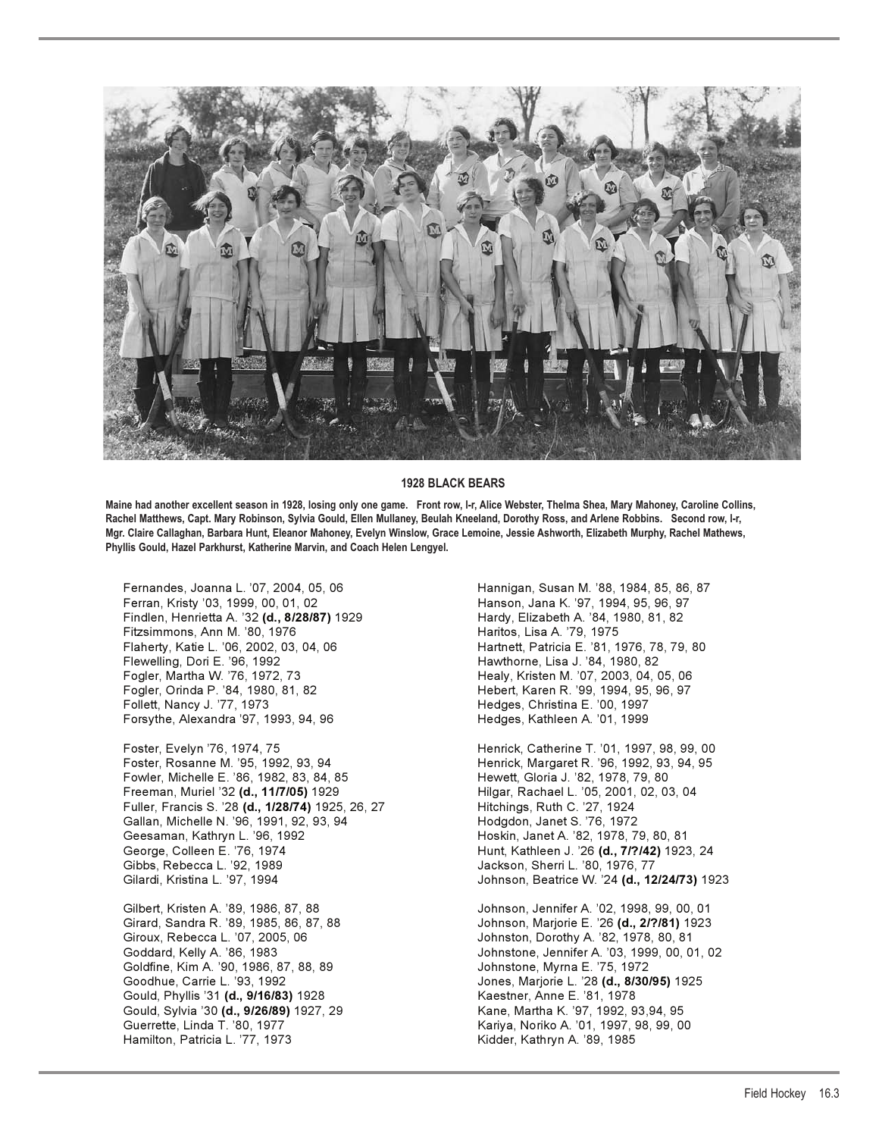

#### **1928 BLACK BEARS**

**Maine had another excellent season in 1928, losing only one game. Front row, l-r, Alice Webster, Thelma Shea, Mary Mahoney, Caroline Collins, Rachel Matthews, Capt. Mary Robinson, Sylvia Gould, Ellen Mullaney, Beulah Kneeland, Dorothy Ross, and Arlene Robbins. Second row, l-r, Mgr. Claire Callaghan, Barbara Hunt, Eleanor Mahoney, Evelyn Winslow, Grace Lemoine, Jessie Ashworth, Elizabeth Murphy, Rachel Mathews, Phyllis Gould, Hazel Parkhurst, Katherine Marvin, and Coach Helen Lengyel.**

Findlen, Henrietta A. '32 **(d., 8/28/87)** 1929 Hardy, Elizabeth A. '84, 1980, 81, 82 Fitzsimmons, Ann M. '80, 1976 Haritos, Lisa A. '79, 1975 Flewelling, Dori E. '96, 1992 **Hawthorne, Lisa J. '84, 1980, 82** Fogler, Martha W. '76, 1972, 73 **Healy, Kristen M. '07, 2003, 04, 05, 06** Fogler, Orinda P. '84, 1980, 81, 82 Hebert, Karen R. '99, 1994, 95, 96, 97 Follett, Nancy J. '77, 1973 Hedges, Christina E. '00, 1997 Forsythe, Alexandra '97, 1993, 94, 96 Hedges, Kathleen A. '01, 1999

Foster, Rosanne M. '95, 1992, 93, 94 Henrick, Margaret R. '96, 1992, 93, 94, 95 Fowler, Michelle E. '86, 1982, 83, 84, 85 Hewett, Gloria J. '82, 1978, 79, 80 Freeman, Muriel '32 **(d., 11/7/05)** 1929 Hilgar, Rachael L. '05, 2001, 02, 03, 04 Fuller, Francis S. '28 **(d., 1/28/74)** 1925, 26, 27 Hitchings, Ruth C. '27, 1924 Gallan, Michelle N. '96, 1991, 92, 93, 94 Hodgdon, Janet S. '76, 1972 Geesaman, Kathryn L. '96, 1992 **Hoskin, Janet A. '82, 1978, 79, 80, 81** George, Colleen E. '76, 1974 **Hunt, Kathleen J. '26 (d., 7/?/42)** 1923, 24 Gibbs, Rebecca L. '92, 1989 Jackson, Sherri L. '80, 1976, 77

Gilbert, Kristen A. '89, 1986, 87, 88 Johnson, Jennifer A. '02, 1998, 99, 00, 01 Giroux, Rebecca L. '07, 2005, 06 Johnston, Dorothy A. '82, 1978, 80, 81 Goldfine, Kim A. '90, 1986, 87, 88, 89 Johnstone, Myrna E. '75, 1972 Gould, Phyllis '31 **(d., 9/16/83)** 1928 Kaestner, Anne E. '81, 1978 Gould, Sylvia '30 **(d., 9/26/89)** 1927, 29 Kane, Martha K. '97, 1992, 93,94, 95 Guerrette, Linda T. '80, 1977 Kariya, Noriko A. '01, 1997, 98, 99, 00 Hamilton, Patricia L. '77, 1973 Kidder, Kathryn A. '89, 1985

Fernandes, Joanna L. '07, 2004, 05, 06 Hannigan, Susan M. '88, 1984, 85, 86, 87 Hanson, Jana K. '97, 1994, 95, 96, 97 Hartnett, Patricia E. '81, 1976, 78, 79, 80

Foster, Evelyn '76, 1974, 75 **Henrick, Catherine T. '01, 1997, 98, 99, 00** Gilardi, Kristina L. '97, 1994 Johnson, Beatrice W. '24 **(d., 12/24/73)** 1923

Girard, Sandra R. '89, 1985, 86, 87, 88 Johnson, Marjorie E. '26 **(d., 2/?/81)** 1923<br>Giroux, Rebecca L. '07, 2005, 06 Johnston, Dorothy A. '82, 1978, 80, 81 Johnstone, Jennifer A. '03, 1999, 00, 01, 02 Goodhue, Carrie L. '93, 1992 Jones, Marjorie L. '28 **(d., 8/30/95)** 1925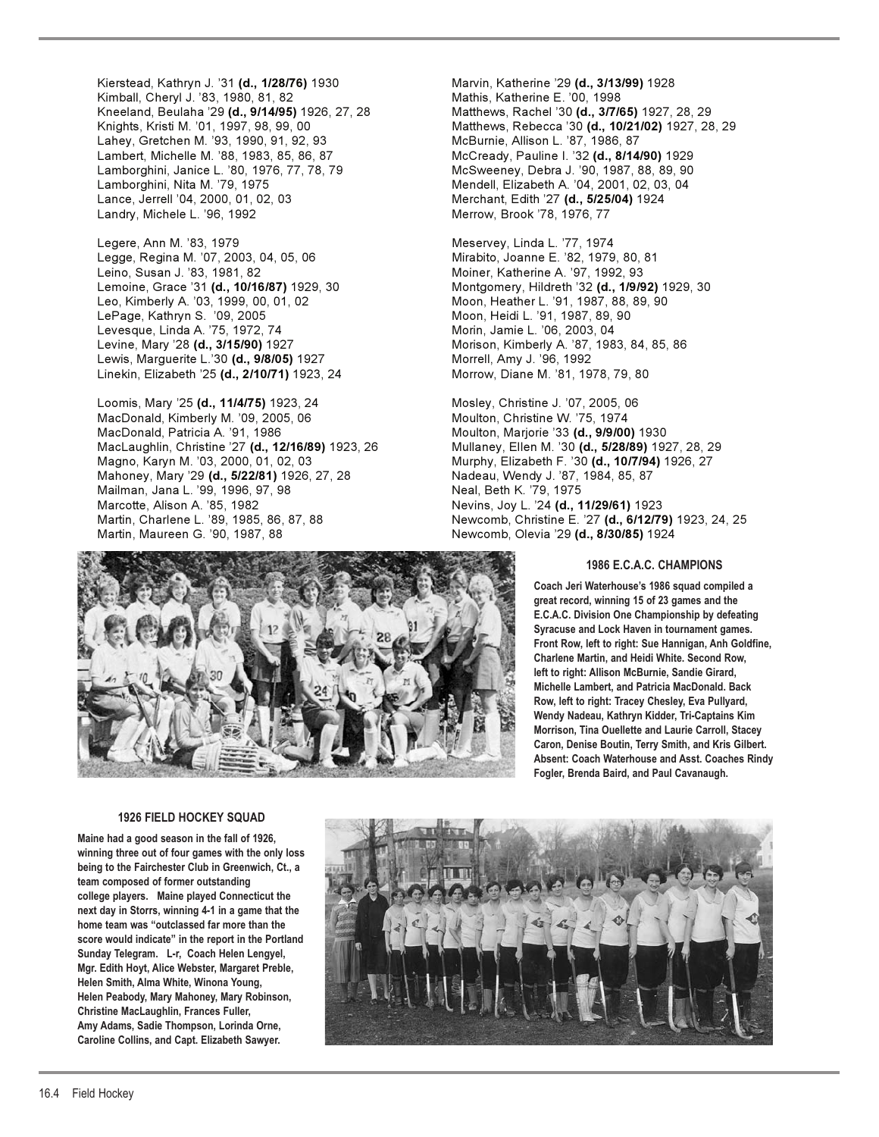Kierstead, Kathryn J. '31 **(d., 1/28/76)** 1930 Marvin, Katherine '29 **(d., 3/13/99)** 1928 Kimball, Cheryl J. '83, 1980, 81, 82 Mathis, Katherine E. '00, 1998 Kneeland, Beulaha '29 (d., 9/14/95) 1926, 27, 28 Lahey, Gretchen M. '93, 1990, 91, 92, 93 Lambert, Michelle M. '88, 1983, 85, 86, 87 McCready, Pauline I. '32 **(d., 8/14/90)** 1929 Lamborghini, Janice L. '80, 1976, 77, 78, 79 McSweeney, Debra J. '90, 1987, 88, 89, 90 Lamborghini, Nita M. '79, 1975 Mendell, Elizabeth A. '04, 2001, 02, 03, 04 Lance, Jerrell '04, 2000, 01, 02, 03 Merchant, Edith '27 **(d., 5/25/04)** 1924 Landry, Michele L. '96, 1992 Merrow, Brook '78, 1976, 77

Legere, Ann M. '83, 1979 **Meservey, Linda L. '77, 1974** Legge, Regina M. '07, 2003, 04, 05, 06 Mirabito, Joanne E. '82, 1979, 80, 81 Leino, Susan J. '83, 1981, 82 Moiner, Katherine A. '97, 1992, 93 LePage, Kathryn S. '09, 2005 Moon, Heidi L. '91, 1987, 89, 90 Levesque, Linda A. '75, 1972, 74 Levine, Mary '28 **(d., 3/15/90)** 1927 Morison, Kimberly A. '87, 1983, 84, 85, 86 Lewis, Marguerite L.'30 **(d., 9/8/05)** 1927 Morrell, Amy J. '96, 1992 Linekin, Elizabeth '25 **(d., 2/10/71)** 1923, 24 Morrow, Diane M. '81, 1978, 79, 80

Loomis, Mary '25 **(d., 11/4/75)** 1923, 24 Mosley, Christine J. '07, 2005, 06 MacDonald, Kimberly M. '09, 2005, 06 MacDonald, Patricia A. '91, 1986 Moulton, Marjorie '33 **(d., 9/9/00)** 1930 MacLaughlin, Christine '27 **(d., 12/16/89)** 1923, 26 Mullaney, Ellen M. '30 **(d., 5/28/89)** 1927, 28, 29 Magno, Karyn M. '03, 2000, 01, 02, 03 Murphy, Elizabeth F. '30 **(d., 10/7/94)** 1926, 27 Mahoney, Mary '29 **(d., 5/22/81)** 1926, 27, 28 Nadeau, Wendy J. '87, 1984, 85, 87 Mailman, Jana L. '99, 1996, 97, 98 Neal, Beth K. '79, 1975<br>Marcotte, Alison A. '85, 1982 Martin, Maureen G. '90, 1987, 88 Newcomb, Olevia '29 **(d., 8/30/85)** 1924

Knights, Kristi M. '01, 1997, 98, 99, 00 **Matthews, Rebecca '30 <b>(d., 10/21/02)** 1927, 28, 29<br>Lahey, Gretchen M. '93, 1990, 91, 92, 93 McBurnie, Allison L. '87, 1986, 87

Lemoine, Grace '31 **(d., 10/16/87)** 1929, 30 Montgomery, Hildreth '32 **(d., 1/9/92)** 1929, 30 Moon, Heather L. '91, 1987, 88, 89, 90<br>Moon, Heidi L. '91, 1987, 89, 90

Nevins, Joy L. '24 (d., 11/29/61) 1923 Martin, Charlene L. '89, 1985, 86, 87, 88 Newcomb, Christine E. '27 (d., 6/12/79) 1923, 24, 25



## **1986 E.C.A.C. CHAMPIONS**

**Coach Jeri Waterhouse's 1986 squad compiled a great record, winning 15 of 23 games and the E.C.A.C. Division One Championship by defeating Syracuse and Lock Haven in tournament games. Front Row, left to right: Sue Hannigan, Anh Goldfine, Charlene Martin, and Heidi White. Second Row, left to right: Allison McBurnie, Sandie Girard, Michelle Lambert, and Patricia MacDonald. Back Row, left to right: Tracey Chesley, Eva Pullyard, Wendy Nadeau, Kathryn Kidder, Tri-Captains Kim Morrison, Tina Ouellette and Laurie Carroll, Stacey Caron, Denise Boutin, Terry Smith, and Kris Gilbert. Absent: Coach Waterhouse and Asst. Coaches Rindy Fogler, Brenda Baird, and Paul Cavanaugh.**

#### **1926 FIELD HOCKEY SQUAD**

**Maine had a good season in the fall of 1926, winning three out of four games with the only loss being to the Fairchester Club in Greenwich, Ct., a team composed of former outstanding college players. Maine played Connecticut the next day in Storrs, winning 4-1 in a game that the home team was "outclassed far more than the score would indicate" in the report in the Portland Sunday Telegram. L-r, Coach Helen Lengyel, Mgr. Edith Hoyt, Alice Webster, Margaret Preble, Helen Smith, Alma White, Winona Young, Helen Peabody, Mary Mahoney, Mary Robinson, Christine MacLaughlin, Frances Fuller, Amy Adams, Sadie Thompson, Lorinda Orne, Caroline Collins, and Capt. Elizabeth Sawyer.**

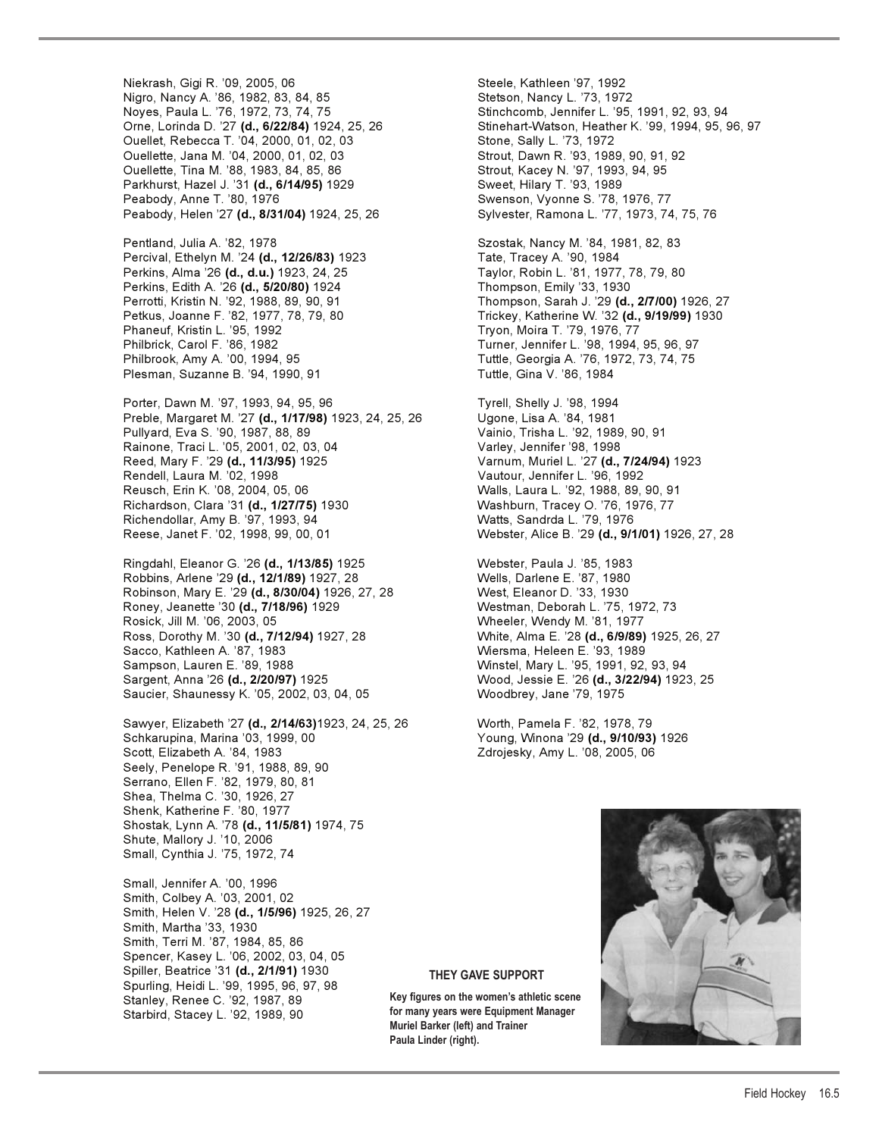Niekrash, Gigi R. '09, 2005, 06 Steele, Kathleen '97, 1992 Nigro, Nancy A. '86, 1982, 83, 84, 85 Stetson, Nancy L. '73, 1972 Noyes, Paula L. '76, 1972, 73, 74, 75 Stinchcomb, Jennifer L. '95, 1991, 92, 93, 94 Ouellet, Rebecca T. '04, 2000, 01, 02, 03 Stone, Sally L. '73, 1972 Ouellette, Jana M. '04, 2000, 01, 02, 03 Strout, Dawn R. '93, 1989, 90, 91, 92 Ouellette, Tina M. '88, 1983, 84, 85, 86 Strout, Kacey N. '97, 1993, 94, 95 Parkhurst, Hazel J. '31 **(d., 6/14/95)** 1929 Sweet, Hilary T. '93, 1989 Peabody, Anne T. '80, 1976 Swenson, Vyonne S. '78, 1976, 77 Peabody, Helen '27 **(d., 8/31/04)** 1924, 25, 26 Sylvester, Ramona L. '77, 1973, 74, 75, 76 Pentland, Julia A. '82, 1978 Szostak, Nancy M. '84, 1981, 82, 83 Percival, Ethelyn M. '24 **(d., 12/26/83)** 1923 Tate, Tracey A. '90, 1984

Perkins, Edith A. '26 **(d., 5/20/80)** 1924 Thompson, Emily '33, 1930 Philbrick, Carol F. '86, 1982 Turner, Jennifer L. '98, 1994, 95, 96, 97 Philbrook, Amy A. '00, 1994, 95 Tuttle, Georgia A. '76, 1972, 73, 74, 75 Plesman, Suzanne B. '94, 1990, 91 Tuttle, Gina V. '86, 1984

Porter, Dawn M. '97, 1993, 94, 95, 96 Tyrell, Shelly J. '98, 1994 Preble, Margaret M. '27 **(d., 1/17/98)** 1923, 24, 25, 26 Ugone, Lisa A. '84, 1981 Pullyard, Eva S. '90, 1987, 88, 89 Vainio, Trisha L. '92, 1989, 90, 91 Rainone, Traci L. '05, 2001, 02, 03, 04 Varley, Jennifer '98, 1998 Reed, Mary F. '29 **(d., 11/3/95)** 1925 Varnum, Muriel L. '27 **(d., 7/24/94)** 1923 Rendell, Laura M. '02, 1998 Vautour, Jennifer L. '96, 1992 Reusch, Erin K. '08, 2004, 05, 06 Walls, Laura L. '92, 1988, 89, 90, 91 Richardson, Clara '31 **(d., 1/27/75)** 1930 Washburn, Tracey O. '76, 1976, 77 Richendollar, Amy B. '97, 1993, 94 Watts, Sandrda L. '79, 1976 Reese, Janet F. '02, 1998, 99, 00, 01 Webster, Alice B. '29 **(d., 9/1/01)** 1926, 27, 28

Ringdahl, Eleanor G. '26 **(d., 1/13/85)** 1925 Webster, Paula J. '85, 1983 Robbins, Arlene '29 **(d., 12/1/89)** 1927, 28 Wells, Darlene E. '87, 1980 Robinson, Mary E. '29 (d., 8/30/04) 1926, 27, 28 Roney, Jeanette '30 **(d., 7/18/96)** 1929 Westman, Deborah L. '75, 1972, 73 Rosick, Jill M. '06, 2003, 05 Wheeler, Wendy M. '81, 1977 Ross, Dorothy M. '30 **(d., 7/12/94)** 1927, 28 White, Alma E. '28 **(d., 6/9/89)** 1925, 26, 27 Sacco, Kathleen A. '87, 1983 Wiersma, Heleen E. '93, 1989 Sampson, Lauren E. '89, 1988 Winstel, Mary L. '95, 1991, 92, 93, 94 Sargent, Anna '26 **(d., 2/20/97)** 1925 Wood, Jessie E. '26 **(d., 3/22/94)** 1923, 25 Saucier, Shaunessy K. '05, 2002, 03, 04, 05

Sawyer, Elizabeth '27 **(d., 2/14/63)**1923, 24, 25, 26 Worth, Pamela F. '82, 1978, 79 Schkarupina, Marina '03, 1999, 00 Young, Winona '29 **(d., 9/10/93)** 1926 Scott, Elizabeth A. '84, 1983 Zdrojesky, Amy L. '08, 2005, 06 Seely, Penelope R. '91, 1988, 89, 90 Serrano, Ellen F. '82, 1979, 80, 81 Shea, Thelma C. '30, 1926, 27 Shenk, Katherine F. '80, 1977 Shostak, Lynn A. '78 **(d., 11/5/81)** 1974, 75 Shute, Mallory J. '10, 2006 Small, Cynthia J. '75, 1972, 74

Small, Jennifer A. '00, 1996 Smith, Colbey A. '03, 2001, 02 Smith, Helen V. '28 **(d., 1/5/96)** 1925, 26, 27 Smith, Martha '33, 1930 Smith, Terri M. '87, 1984, 85, 86 Spencer, Kasey L. '06, 2002, 03, 04, 05 Spiller, Beatrice '31 **(d., 2/1/91)** 1930 Spurling, Heidi L. '99, 1995, 96, 97, 98 Stanley, Renee C. '92, 1987, 89 Starbird, Stacey L. '92, 1989, 90

Orne, Lorinda D. '27 **(d., 6/22/84)** 1924, 25, 26 Stinehart-Watson, Heather K. '99, 1994, 95, 96, 97

Perkins, Alma '26 **(d., d.u.)** 1923, 24, 25 Taylor, Robin L. '81, 1977, 78, 79, 80 Perrotti, Kristin N. '92, 1988, 89, 90, 91 Thompson, Sarah J. '29 **(d., 2/7/00)** 1926, 27 Petkus, Joanne F. '82, 1977, 78, 79, 80 Trickey, Katherine W. '32 **(d., 9/19/99)** 1930 Tryon, Moira T. '79, 1976, 77



## **THEY GAVE SUPPORT**

**Key figures on the women's athletic scene for many years were Equipment Manager Muriel Barker (left) and Trainer Paula Linder (right).**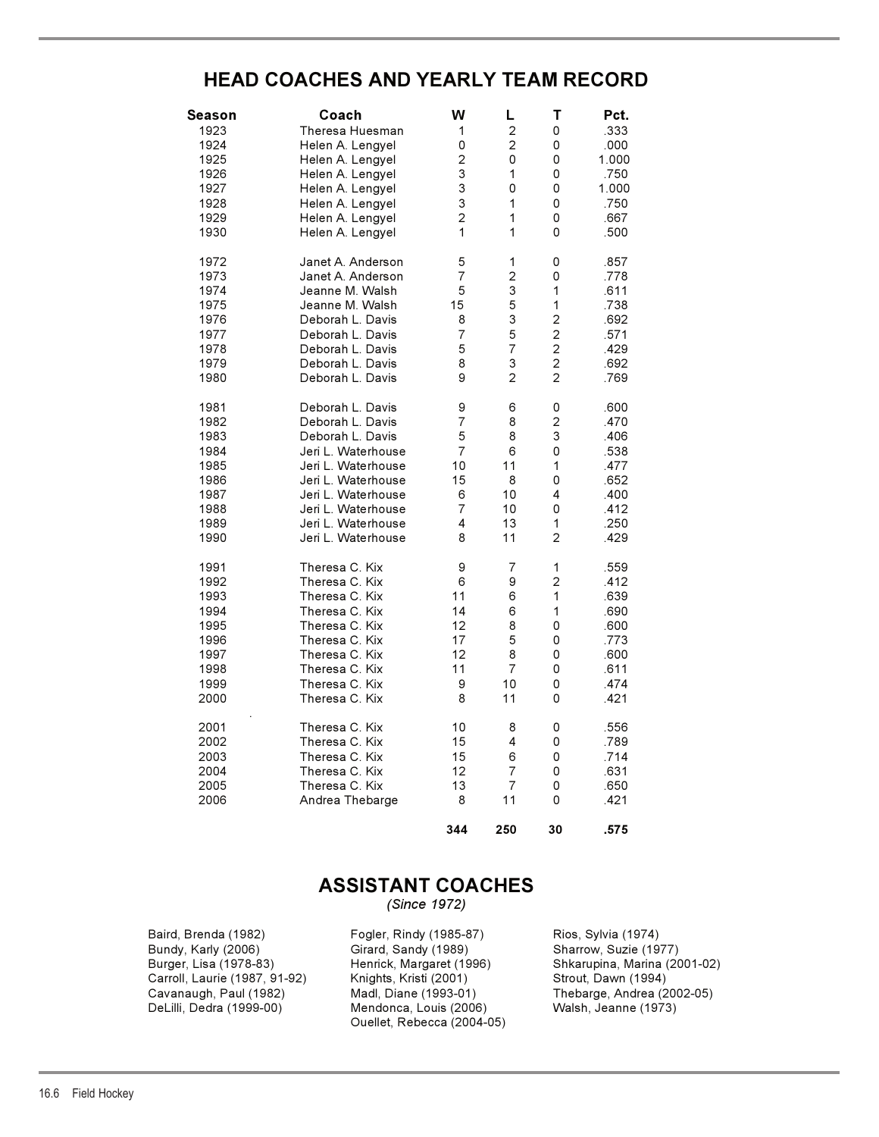# **HEAD COACHES AND YEARLY TEAM RECORD**

| Season | Coach              | W              | L              | T              | Pct.  |
|--------|--------------------|----------------|----------------|----------------|-------|
| 1923   | Theresa Huesman    | 1              | $\mathbf 2$    | 0              | .333  |
| 1924   | Helen A. Lengyel   | 0              | $\overline{c}$ | 0              | .000  |
| 1925   | Helen A. Lengyel   | $\overline{c}$ | 0              | 0              | 1.000 |
| 1926   | Helen A. Lengyel   | 3              | 1              | 0              | .750  |
| 1927   | Helen A. Lengyel   | 3              | 0              | 0              | 1.000 |
| 1928   | Helen A. Lengyel   | 3              | 1              | 0              | .750  |
| 1929   | Helen A. Lengyel   | $\overline{c}$ | 1              | 0              | .667  |
| 1930   | Helen A. Lengyel   | 1              | 1              | 0              | .500  |
|        |                    |                |                |                |       |
| 1972   | Janet A. Anderson  | 5              | 1              | 0              | .857  |
| 1973   | Janet A. Anderson  | 7              | $\overline{c}$ | 0              | .778  |
| 1974   | Jeanne M. Walsh    | 5              | 3              | $\mathbf{1}$   | .611  |
| 1975   | Jeanne M. Walsh    | 15             | 5              | 1              | .738  |
| 1976   | Deborah L. Davis   | 8              | 3              | $\overline{c}$ | .692  |
| 1977   | Deborah L. Davis   | 7              | 5              | $\overline{2}$ | .571  |
| 1978   | Deborah L. Davis   | 5              | $\overline{7}$ | $\overline{c}$ | .429  |
| 1979   | Deborah L. Davis   | 8              | 3              | $\overline{c}$ | .692  |
| 1980   | Deborah L. Davis   | 9              | $\overline{2}$ | $\overline{2}$ | .769  |
|        |                    |                |                |                |       |
| 1981   | Deborah L. Davis   | 9              | 6              | 0              | .600  |
| 1982   | Deborah L. Davis   | $\overline{7}$ | 8              | $\overline{2}$ | .470  |
| 1983   | Deborah L. Davis   | 5              | 8              | 3              | .406  |
| 1984   | Jeri L. Waterhouse | $\overline{7}$ | 6              | 0              | .538  |
| 1985   | Jeri L. Waterhouse | 10             | 11             | $\mathbf{1}$   | .477  |
| 1986   | Jeri L. Waterhouse | 15             | 8              | 0              | .652  |
| 1987   | Jeri L. Waterhouse | 6              | 10             | 4              | .400  |
| 1988   | Jeri L. Waterhouse | $\overline{7}$ | 10             | 0              | .412  |
| 1989   | Jeri L. Waterhouse | 4              | 13             | $\mathbf{1}$   | .250  |
| 1990   | Jeri L. Waterhouse | 8              | 11             | $\overline{2}$ | .429  |
|        |                    |                |                |                |       |
| 1991   | Theresa C. Kix     | 9              | 7              | 1              | .559  |
| 1992   | Theresa C. Kix     | 6              | 9              | $\overline{c}$ | .412  |
| 1993   | Theresa C. Kix     | 11             | 6              | $\mathbf{1}$   | .639  |
| 1994   | Theresa C. Kix     | 14             | 6              | $\mathbf{1}$   | .690  |
| 1995   | Theresa C. Kix     | 12             | 8              | 0              | .600  |
| 1996   | Theresa C. Kix     | 17             | 5              | 0              | .773  |
| 1997   | Theresa C. Kix     | 12             | 8              | 0              | .600  |
| 1998   | Theresa C. Kix     | 11             | 7              | 0              | .611  |
| 1999   | Theresa C. Kix     | 9              | 10             | 0              | .474  |
| 2000   | Theresa C. Kix     | 8              | 11             | 0              | .421  |
|        |                    |                |                |                |       |
| 2001   | Theresa C. Kix     | 10             | 8<br>4         | 0<br>0         | .556  |
| 2002   | Theresa C. Kix     | 15             |                |                | .789  |
| 2003   | Theresa C. Kix     | 15             | 6              | 0              | .714  |
| 2004   | Theresa C. Kix     | 12             | $\overline{7}$ | 0              | .631  |
| 2005   | Theresa C. Kix     | 13<br>8        | $\overline{7}$ | 0<br>$\Omega$  | .650  |
| 2006   | Andrea Thebarge    |                | 11             |                | .421  |
|        |                    | 344            | 250            | 30             | .575  |

# **ASSISTANT COACHES**

*(Since 1972)* 

Baird, Brenda (1982) Fogler, Rindy (1985-87) Rios, Sylvia (1974) Carroll, Laurie (1987, 91-92) Knights, Kristi (2001)<br>Cavanaugh, Paul (1982) Madl, Diane (1993-01)

Bundy, Karly (2006) Girard, Sandy (1989) Sharrow, Suzie (1977) Cavanaugh, Paul (1982) Madl, Diane (1993-01) Thebarge, Andrea (2002-05)<br>DeLilli, Dedra (1999-00) Mendonca, Louis (2006) Walsh, Jeanne (1973) Mendonca, Louis (2006) Ouellet, Rebecca (2004-05)

Henrick, Margaret (1996) Shkarupina, Marina (2001-02)<br>Knights, Kristi (2001) Strout, Dawn (1994)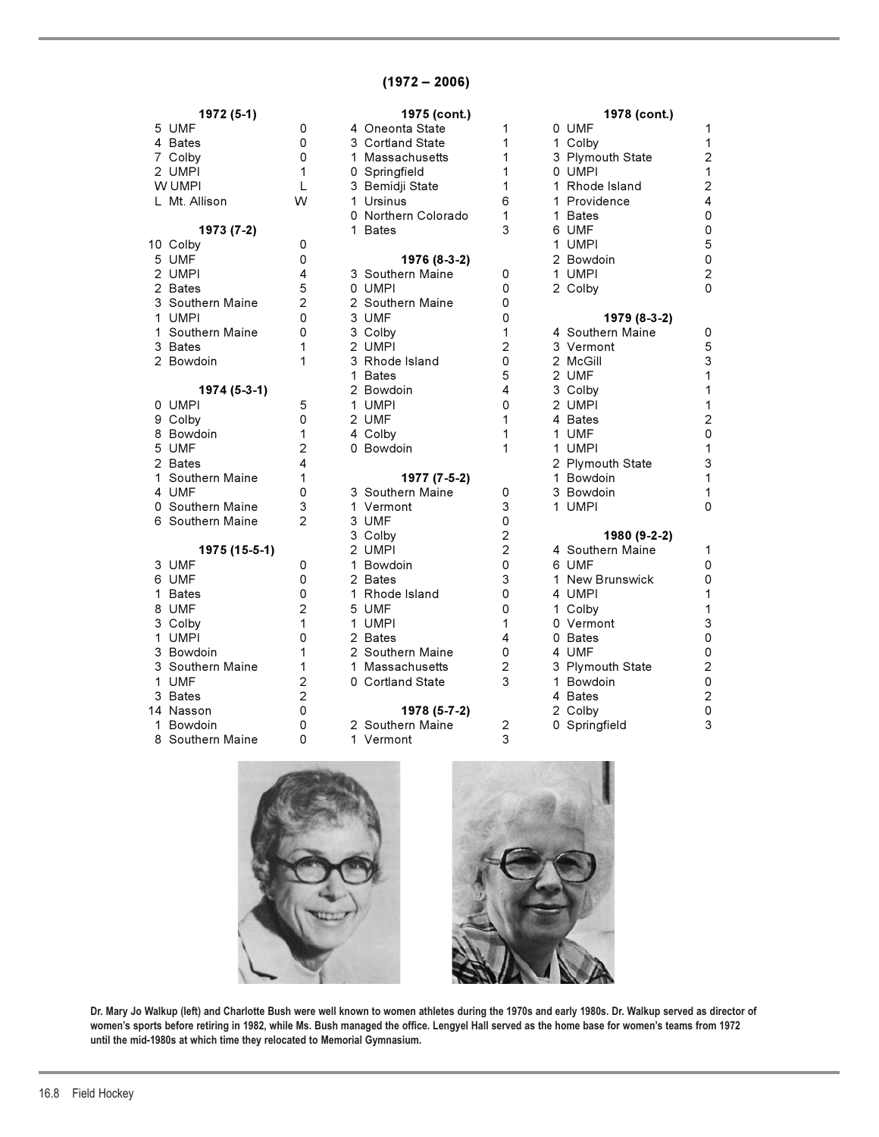# **(1972 – 2006)**

|  | . <i>.</i>       |                | 1919101117          |                | 19191001117      |                           |
|--|------------------|----------------|---------------------|----------------|------------------|---------------------------|
|  | 5 UMF            | 0              | 4 Oneonta State     | 1              | 0 UMF            | 1                         |
|  | 4 Bates          | 0              | 3 Cortland State    | 1              | 1 Colby          | $\mathbf{1}$              |
|  | 7 Colby          | 0              | 1 Massachusetts     | 1              | 3 Plymouth State | $\overline{c}$            |
|  | 2 UMPI           | 1              | 0 Springfield       | 1              | 0 UMPI           | $\mathbf{1}$              |
|  | W UMPI           |                | 3 Bemidji State     | 1              | 1 Rhode Island   | $\mathbf 2$               |
|  | L Mt. Allison    | W              | 1 Ursinus           | 6              | 1 Providence     | $\overline{\mathbf{4}}$   |
|  |                  |                | 0 Northern Colorado | 1              | 1 Bates          | 0                         |
|  | 1973 (7-2)       |                | 1 Bates             | 3              | 6 UMF            | 0                         |
|  | 10 Colby         | 0              |                     |                | 1 UMPI           | 5                         |
|  | 5 UMF            | 0              | 1976 (8-3-2)        |                | 2 Bowdoin        | $\mathsf 0$               |
|  | 2 UMPI           | 4              | 3 Southern Maine    | 0              | 1 UMPI           | $\mathbf 2$               |
|  | 2 Bates          | 5              | 0 UMPI              | 0              | 2 Colby          | $\mathbf 0$               |
|  | 3 Southern Maine | $\overline{c}$ | 2 Southern Maine    | 0              |                  |                           |
|  | 1 UMPI           | 0              | 3 UMF               | 0              | 1979 (8-3-2)     |                           |
|  | 1 Southern Maine | 0              | 3 Colby             | 1              | 4 Southern Maine | 0                         |
|  | 3 Bates          | 1              | 2 UMPI              | 2              | 3 Vermont        | 5                         |
|  | 2 Bowdoin        | 1              | 3 Rhode Island      | 0              | 2 McGill         | 3                         |
|  |                  |                | 1 Bates             | 5              | 2 UMF            | 1                         |
|  | 1974 (5-3-1)     |                | 2 Bowdoin           | 4              | 3 Colby          | 1                         |
|  | 0 UMPI           | 5              | 1 UMPI              | 0              | 2 UMPI           | $\mathbf{1}$              |
|  | 9 Colby          | 0              | 2 UMF               | 1              | 4 Bates          | $\mathbf 2$               |
|  | 8 Bowdoin        | 1              | 4 Colby             | 1              | 1 UMF            | 0                         |
|  | 5 UMF            | 2              | 0 Bowdoin           | 1              | 1 UMPI           | $\mathbf{1}$              |
|  | 2 Bates          | 4              |                     |                | 2 Plymouth State | $\ensuremath{\mathsf{3}}$ |
|  | 1 Southern Maine | 1              | 1977 (7-5-2)        |                | 1 Bowdoin        | $\mathbf{1}$              |
|  | 4 UMF            | 0              | 3 Southern Maine    | 0              | 3 Bowdoin        | 1                         |
|  | 0 Southern Maine | 3              | 1 Vermont           | 3              | 1 UMPI           | 0                         |
|  | 6 Southern Maine | $\overline{2}$ | 3 UMF               | 0              |                  |                           |
|  |                  |                | 3 Colby             | $\overline{c}$ | 1980 (9-2-2)     |                           |
|  | 1975 (15-5-1)    |                | 2 UMPI              | $\overline{2}$ | 4 Southern Maine | 1                         |
|  | 3 UMF            | 0              | 1 Bowdoin           | 0              | 6 UMF            | $\mathsf 0$               |
|  | 6 UMF            | 0              | 2 Bates             | 3              | 1 New Brunswick  | $\mathsf 0$               |
|  | 1 Bates          | 0              | 1 Rhode Island      | 0              | 4 UMPI           | 1                         |
|  | 8 UMF            | $\overline{2}$ | 5 UMF               | $\Omega$       | 1 Colby          | $\mathbf{1}$              |
|  | 3 Colby          | 1              | 1 UMPI              | 1              | 0 Vermont        | $\mathsf 3$               |
|  | 1 UMPI           | 0              | 2 Bates             | 4              | 0 Bates          | 0                         |
|  | 3 Bowdoin        | 1              | 2 Southern Maine    | 0              | 4 UMF            | 0                         |
|  | 3 Southern Maine | 1              | 1 Massachusetts     | $\overline{c}$ | 3 Plymouth State | $\mathbf 2$               |
|  | 1 UMF            | 2              | 0 Cortland State    | 3              | 1 Bowdoin        | $\mathsf 0$               |
|  | 3 Bates          | $\overline{c}$ |                     |                | 4 Bates          | $\mathbf 2$               |
|  | 14 Nasson        | 0              | 1978 (5-7-2)        |                | 2 Colby          | $\mathsf 0$               |
|  | 1 Bowdoin        | 0              | 2 Southern Maine    | $\overline{c}$ | 0 Springfield    | 3                         |
|  | 8 Southern Maine | 0              | 1 Vermont           | 3              |                  |                           |

| 1972 (5-1)    |                | 1975 (cont.)              |                | 1978 (cont.)              |                         |
|---------------|----------------|---------------------------|----------------|---------------------------|-------------------------|
|               | 0              | 4 Oneonta State           | 1              | 0 UMF                     | 1                       |
| s             | 0              | 3 Cortland State          | 1              | 1 Colby                   | $\mathbf 1$             |
|               | 0              | 1 Massachusetts           | 1              | 3 Plymouth State          | $\overline{c}$          |
|               | 1              | 0 Springfield             | 1              | 0 UMPI                    | $\mathbf{1}$            |
| ١             | L              | 3 Bemidji State           | 1              | 1 Rhode Island            | $\overline{c}$          |
| llison        | W              | 1 Ursinus                 | 6              | 1 Providence              | 4                       |
|               |                | 0 Northern Colorado       | 1              | 1 Bates                   | 0                       |
| 1973 (7-2)    |                | 1 Bates                   | 3              | 6 UMF                     | $\mathbf 0$             |
|               | 0              |                           |                | 1 UMPI                    | 5                       |
|               | 0              | 1976 (8-3-2)              |                | 2 Bowdoin                 | $\mathbf 0$             |
|               | 4              | 3 Southern Maine          | 0              | 1 UMPI                    | $\overline{c}$          |
|               | 5              | 0 UMPI                    | 0              | 2 Colby                   | $\mathbf 0$             |
| hern Maine    | $\overline{2}$ | 2 Southern Maine          | 0              |                           |                         |
|               | $\Omega$       | 3 UMF                     | 0              | 1979 (8-3-2)              |                         |
| hern Maine    | 0              | 3 Colby                   | 1              | 4 Southern Maine          | 0                       |
| s             | 1              | 2 UMPI                    | 2              | 3 Vermont                 | 5                       |
| doin          | 1              | 3 Rhode Island            | 0              | 2 McGill                  | 3                       |
|               |                | 1 Bates                   | 5              | 2 UMF                     | $\mathbf{1}$            |
| 1974 (5-3-1)  |                | 2 Bowdoin                 | 4              | 3 Colby                   | $\mathbf{1}$            |
| 1             | 5              | 1 UMPI                    | 0              | 2 UMPI                    | $\mathbf{1}$            |
| V             | 0              | 2 UMF                     | 1              | 4 Bates                   | $\overline{\mathbf{c}}$ |
| doin          | 1              | 4 Colby                   | 1              | 1 UMF                     | $\overline{0}$          |
|               | $\overline{2}$ | 0 Bowdoin                 | 1              | 1 UMPI                    | $\overline{1}$          |
|               | 4              |                           |                | 2 Plymouth State          | 3                       |
| hern Maine    | 1              | 1977 (7-5-2)              |                | 1 Bowdoin                 | $\mathbf{1}$            |
|               | 0              | 3 Southern Maine          | 0              | 3 Bowdoin                 | $\mathbf 1$             |
| hern Maine    | 3              | 1 Vermont                 | 3              | 1 UMPI                    | $\mathbf 0$             |
| hern Maine    | $\overline{2}$ | 3 UMF                     | 0              |                           |                         |
|               |                | 3 Colby                   | 2              | 1980 (9-2-2)              |                         |
| 1975 (15-5-1) |                | 2 UMPI<br>1 Bowdoin       | 2              | 4 Southern Maine<br>6 UMF | 1<br>0                  |
|               | 0<br>0         |                           | 0<br>3         |                           | 0                       |
|               | 0              | 2 Bates<br>1 Rhode Island | 0              | 1 New Brunswick<br>4 UMPI |                         |
| s             | $\overline{2}$ | 5 UMF                     | 0              |                           | 1<br>$\mathbf{1}$       |
|               | 1              | 1 UMPI                    | 1              | 1 Colby<br>0 Vermont      | 3                       |
|               | 0              | 2 Bates                   | 4              | 0 Bates                   | 0                       |
| doin          | 1              | 2 Southern Maine          | 0              | 4 UMF                     | $\mathbf 0$             |
| hern Maine    | 1              | 1 Massachusetts           | $\overline{c}$ | 3 Plymouth State          | $\overline{c}$          |
|               | $\overline{c}$ | 0 Cortland State          | 3              | 1 Bowdoin                 | $\mathbf 0$             |
|               | $\overline{2}$ |                           |                | 4 Bates                   | $\overline{c}$          |
| S<br>۱on      | 0              | 1978 (5-7-2)              |                | 2 Colby                   | $\mathbf 0$             |
| doin          | 0              | 2 Southern Maine          | $\overline{2}$ | 0 Springfield             | 3                       |
|               |                |                           |                |                           |                         |





**Dr. Mary Jo Walkup (left) and Charlotte Bush were well known to women athletes during the 1970s and early 1980s. Dr. Walkup served as director of women's sports before retiring in 1982, while Ms. Bush managed the office. Lengyel Hall served as the home base for women's teams from 1972 until the mid-1980s at which time they relocated to Memorial Gymnasium.**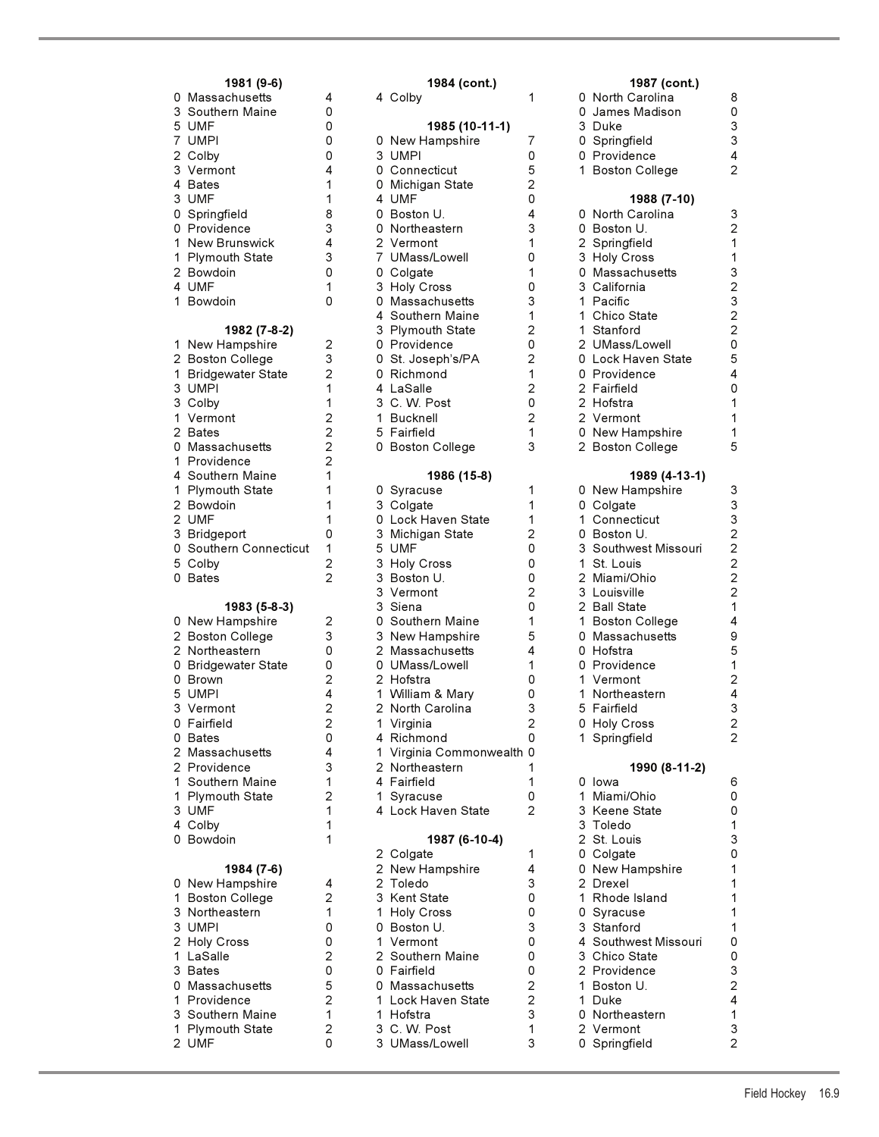| 1981 (9-6)                                                                                                                                                                                                                                                                                                                                                                                                                                                                           |                                                                                                                                                                                     |
|--------------------------------------------------------------------------------------------------------------------------------------------------------------------------------------------------------------------------------------------------------------------------------------------------------------------------------------------------------------------------------------------------------------------------------------------------------------------------------------|-------------------------------------------------------------------------------------------------------------------------------------------------------------------------------------|
| Massachusetts<br>0<br>3<br>Southern Maine<br>5<br>7<br><b>UMF</b><br><b>UMPI</b><br>$\overline{c}$<br>Colby<br>3<br>4<br>Vermont<br><b>Bates</b><br>3<br><b>UMF</b><br>0<br>Springfield<br>0<br>Providence<br>1<br><b>New Brunswick</b><br>1<br>Plymouth State<br>$\overline{c}$<br>Bowdoin<br>4<br><b>UMF</b><br>1<br>Bowdoin                                                                                                                                                       | 4<br>0<br>0<br>0<br>0<br>4<br>1<br>$\mathbf{1}$<br>8<br>3<br>4<br>3<br>0<br>1<br>0                                                                                                  |
| 1982 (7-8-2)<br>1<br>New Hampshire<br>$\overline{c}$<br><b>Boston College</b><br>$\mathbf 1$<br><b>Bridgewater State</b><br>3<br><b>UMPI</b><br>3<br>Colby<br>$\overline{1}$<br>Vermont<br>$\overline{c}$<br><b>Bates</b><br>0<br>Massachusetts<br>$\mathbf 1$<br>Providence<br>4<br>Southern Maine<br>$\mathbf 1$<br><b>Plymouth State</b><br>$\overline{c}$<br>Bowdoin<br>$\overline{c}$<br><b>UMF</b><br>3<br>Bridgeport<br>0<br>Southern Connecticut<br>5<br>Colby<br>0<br>Bates | 2321122221<br>$\mathbf{1}$<br>$\mathbf{1}$<br>1<br>o<br>$\mathbf{1}$<br>$\frac{2}{2}$                                                                                               |
| 1983 (5-8-3)<br>New Hampshire<br>0<br>$\overline{\mathbf{c}}$<br><b>Boston College</b><br>$\overline{a}$<br>Northeastern<br>0<br><b>Bridgewater State</b><br>0<br>Brown<br>5 UMPI<br>3<br>Vermont<br>0<br>Fairfield<br>0<br>Bates<br>$\overline{c}$<br>Massachusetts<br>$\overline{c}$<br>Providence<br>1<br>Southern Maine<br>$\mathbf{1}$<br><b>Plymouth State</b><br>3<br><b>UMF</b><br>Colby<br>4<br>0<br>Bowdoin                                                                | $\overline{c}$<br>3<br>$\begin{array}{c} 0 \\ 0 \\ 2 \\ 4 \end{array}$<br>$\overline{\mathbf{c}}$<br>$\overline{c}$<br>0<br>4<br>3<br>1<br>$\overline{c}$<br>1<br>$\mathbf{1}$<br>1 |
| 1984 (7-6)<br>0<br>New Hampshire<br>1<br><b>Boston College</b><br>3<br>3<br>Northeastern<br>UMPI<br>$\overline{\mathbf{c}}$<br><b>Holy Cross</b><br>$\mathbf 1$<br>LaSalle<br>3<br><b>Bates</b><br>0<br>Massachusetts<br>$\mathbf{1}$<br>Providence<br>3<br>Southern Maine<br>$\mathbf 1$<br>Plymouth State                                                                                                                                                                          | 4<br>2100205212                                                                                                                                                                     |

| 1981 (9-6)                      |                     | 1984 (cont.)                          |                | 1987 (cont.)                  |                                |
|---------------------------------|---------------------|---------------------------------------|----------------|-------------------------------|--------------------------------|
| 0 Massachusetts                 | 4                   | 4 Colby                               | 1              | 0 North Carolina              | 8                              |
| 3 Southern Maine                | 0                   |                                       |                | 0 James Madison               | 0                              |
| 5 UMF                           | 0                   | 1985 (10-11-1)                        |                | 3 Duke                        | $\mathsf 3$                    |
| 7 UMPI                          | 0                   | 0 New Hampshire                       | $\overline{7}$ | 0 Springfield                 | 3                              |
| 2 Colby                         | 0                   | 3 UMPI                                | 0              | 0 Providence                  | 4                              |
| 3 Vermont                       | 4                   | 0 Connecticut                         | 5              | 1 Boston College              | $\overline{2}$                 |
| 4 Bates                         | 1                   | 0 Michigan State                      | $\overline{2}$ |                               |                                |
| 3 UMF                           | 1                   | 4 UMF                                 | 0              | 1988 (7-10)                   |                                |
| 0 Springfield                   | 8                   | 0 Boston U.                           | 4              | 0 North Carolina              | 3                              |
| 0 Providence                    | 3                   | 0 Northeastern                        | 3              | 0 Boston U.                   | $\overline{c}$                 |
| 1 New Brunswick                 | 4                   | 2 Vermont                             | 1              | 2 Springfield                 | 1                              |
| 1 Plymouth State                | 3                   | 7 UMass/Lowell                        | 0              | 3 Holy Cross                  | $\mathbf{1}$                   |
|                                 |                     |                                       |                |                               | 3                              |
| 2 Bowdoin                       | 0                   | 0 Colgate                             | 1<br>0         | 0 Massachusetts               |                                |
| 4 UMF                           | 1                   | 3 Holy Cross                          | 3              | 3 California                  | $\overline{c}$<br>3            |
| 1 Bowdoin                       | 0                   | 0 Massachusetts                       |                | 1 Pacific                     | $\overline{c}$                 |
|                                 |                     | 4 Southern Maine                      | 1              | 1 Chico State                 |                                |
| 1982 (7-8-2)                    |                     | 3 Plymouth State                      | $\overline{2}$ | 1 Stanford                    | $\overline{c}$                 |
| 1 New Hampshire                 | 2                   | 0 Providence                          | 0              | 2 UMass/Lowell                | 0                              |
| 2 Boston College                | 3                   | 0 St. Joseph's/PA                     | $\overline{2}$ | 0 Lock Haven State            | 5                              |
| 1 Bridgewater State             | $\overline{2}$      | 0 Richmond                            | 1              | 0 Providence                  | 4                              |
| 3 UMPI                          | 1                   | 4 LaSalle                             | $\overline{2}$ | 2 Fairfield                   | 0                              |
| 3 Colby                         | 1                   | 3 C. W. Post                          | 0              | 2 Hofstra                     | 1                              |
| 1 Vermont                       | $\overline{2}$      | 1 Bucknell                            | $\overline{2}$ | 2 Vermont                     | 1                              |
| 2 Bates                         | $\overline{2}$      | 5 Fairfield                           | 1              | 0 New Hampshire               | 1                              |
| 0 Massachusetts                 | $\overline{2}$      | 0 Boston College                      | 3              | 2 Boston College              | 5                              |
| 1 Providence                    | $\overline{2}$      |                                       |                |                               |                                |
| 4 Southern Maine                | 1                   | 1986 (15-8)                           |                | 1989 (4-13-1)                 |                                |
| 1 Plymouth State                | 1                   | 0 Syracuse                            | 1              | 0 New Hampshire               | 3                              |
| 2 Bowdoin                       | 1                   | 3 Colgate                             | 1              | 0 Colgate                     | $\mathsf 3$                    |
| 2 UMF                           | 1                   | 0 Lock Haven State                    | 1              | 1 Connecticut                 | 3                              |
| 3 Bridgeport                    | 0                   | 3 Michigan State                      | $\overline{c}$ | 0 Boston U.                   | $\overline{c}$                 |
| 0 Southern Connecticut          | 1                   | 5 UMF                                 | 0              | 3 Southwest Missouri          | $\overline{c}$                 |
| 5 Colby                         | $\overline{c}$      | 3 Holy Cross                          | 0              | 1 St. Louis                   | $\overline{c}$                 |
| 0 Bates                         | $\overline{2}$      | 3 Boston U.                           | 0              | 2 Miami/Ohio                  | $\overline{c}$                 |
|                                 |                     | 3 Vermont                             | $\overline{c}$ | 3 Louisville                  | $\overline{c}$                 |
| 1983 (5-8-3)                    |                     | 3 Siena                               | 0              | 2 Ball State                  | $\mathbf{1}$                   |
| 0 New Hampshire                 | 2                   | 0 Southern Maine                      | 1              | 1 Boston College              | 4                              |
| 2 Boston College                | 3                   | 3 New Hampshire                       | 5              | 0 Massachusetts               | 9                              |
| 2 Northeastern                  | 0                   | 2 Massachusetts                       | 4              | 0 Hofstra                     | 5                              |
| 0 Bridgewater State             | 0                   | 0 UMass/Lowell                        | 1              | 0 Providence                  | 1                              |
| 0 Brown                         | $\overline{2}$      | 2 Hofstra                             | 0              | 1 Vermont                     | $\overline{c}$                 |
| 5 UMPI                          | 4                   | 1 William & Mary                      | 0              | 1 Northeastern                | 4                              |
| 3 Vermont                       | $\mathbf 2$         | 2 North Carolina                      | 3              | 5 Fairfield                   | 3                              |
| 0 Fairfield                     | 2                   | 1 Virginia                            | $\overline{2}$ | 0 Holy Cross                  | 2                              |
| 0 Bates                         | 0                   | 4 Richmond                            | 0              | 1 Springfield                 | 2                              |
| 2 Massachusetts                 | 4                   | 1 Virginia Commonwealth 0             |                |                               |                                |
| 2 Providence                    | 3                   | 2 Northeastern                        | 1              | 1990 (8-11-2)                 |                                |
| 1 Southern Maine                | 1                   | 4 Fairfield                           | 1              | 0 lowa                        | 6                              |
| 1 Plymouth State                | $\overline{c}$      | 1 Syracuse                            | 0              | 1 Miami/Ohio                  | 0                              |
| 3 UMF                           | 1                   | 4 Lock Haven State                    | 2              | 3 Keene State                 | 0                              |
| 4 Colby                         | 1                   |                                       |                | 3 Toledo                      | $\mathbf{1}$                   |
| 0 Bowdoin                       | 1                   | 1987 (6-10-4)                         |                | 2 St. Louis                   | 3                              |
|                                 |                     | 2 Colgate                             | 1              | 0 Colgate                     | 0                              |
| 1984 (7-6)                      |                     | 2 New Hampshire                       | 4              | 0 New Hampshire               | 1                              |
| 0 New Hampshire                 | 4                   | 2 Toledo                              | 3              | 2 Drexel                      | 1                              |
| 1 Boston College                | $\overline{c}$      | 3 Kent State                          | 0              | 1 Rhode Island                | 1                              |
| 3 Northeastern                  | 1                   | 1 Holy Cross                          | 0              | 0 Syracuse                    | 1                              |
| 3 UMPI                          | 0                   | 0 Boston U.                           | 3              | 3 Stanford                    | 1                              |
|                                 | 0                   | 1 Vermont                             | 0              | 4 Southwest Missouri          | 0                              |
| 2 Holy Cross                    |                     |                                       |                |                               |                                |
| 1 LaSalle                       | 2<br>0              | 2 Southern Maine<br>0 Fairfield       | 0<br>0         | 3 Chico State<br>2 Providence | 0<br>$\ensuremath{\mathsf{3}}$ |
| 3 Bates                         | 5                   |                                       | $\overline{c}$ |                               | $\mathbf 2$                    |
| 0 Massachusetts<br>1 Providence | $\overline{2}$      | 0 Massachusetts<br>1 Lock Haven State | $\overline{2}$ | 1 Boston U.<br>1 Duke         | 4                              |
|                                 | 1                   | 1 Hofstra                             | 3              | 0 Northeastern                | $\mathbf 1$                    |
| 3 Southern Maine                |                     |                                       |                |                               |                                |
| 1 Plymouth State                | $\overline{c}$<br>0 | 3 C.W. Post                           | 1<br>3         | 2 Vermont                     | 3<br>$\overline{a}$            |
| 2 UMF                           |                     | 3 UMass/Lowell                        |                | 0 Springfield                 |                                |

| C<br>C<br>3<br>0<br>0<br>1                                                             | 1907 (CONL.)<br>North Carolina<br>James Madison<br>Duke<br>Springfield<br>Providence<br><b>Boston College</b>                                                                                                                                                                                            | 8<br>0<br>3<br>3<br>4<br>$\overline{c}$                                                                                           |
|----------------------------------------------------------------------------------------|----------------------------------------------------------------------------------------------------------------------------------------------------------------------------------------------------------------------------------------------------------------------------------------------------------|-----------------------------------------------------------------------------------------------------------------------------------|
| ) ) ) ) ) ) ) ) ) ) ) ) ) )<br>1<br>1                                                  | 1988 (7-10)<br>North Carolina<br>Boston U.<br>Springfield<br><b>Holy Cross</b><br>Massachusetts<br>California<br>Pacific<br>Chico State<br>Stanford<br>UMass/Lowell<br>Lock Haven State<br>Providence<br>Fairfield<br>Hofstra<br>Vermont<br>New Hampshire<br><b>Boston College</b>                       | 321132322054<br>0<br>$\overline{\mathbf{1}}$<br>$\mathbf{1}$<br>$\mathbf{1}$<br>5                                                 |
| ) ) 1 ) 3 1 2 3 2 1<br>ว<br>ว<br>1<br>1<br>1<br>5<br>C<br>1                            | 1989 (4-13-1)<br>New Hampshire<br>Colgate<br>Connecticut<br>Boston U.<br>Southwest Missouri<br>St. Louis<br>Miami/Ohio<br>Louisville<br><b>Ball State</b><br><b>Boston College</b><br>Massachusetts<br>Hofstra<br>Providence<br>Vermont<br>Northeastern<br>Fairfield<br><b>Holy Cross</b><br>Springfield | 333222214<br>9<br>5<br>$\mathbf{1}$<br>$\begin{array}{c}\n2 \\ 4 \\ 3\n\end{array}$<br>$\overline{2}$<br>2                        |
| J<br>1 3 3 2 0 0 2 1 0 3 4 3<br>$\frac{2}{1}$<br>1<br>$\mathfrak{O}$<br>$\overline{2}$ | 1990 (8-11-2)<br>Iowa<br>Miami/Ohio<br>Keene State<br>Toledo<br>St. Louis<br>Colgate<br>New Hampshire<br>Drexel<br>Rhode Island<br>Syracuse<br>Stanford<br>Southwest Missouri<br>Chico State<br>Providence<br>Boston U.<br>Duke<br>Northeastern<br>Vermont                                               | 6<br>0<br>0<br>$\frac{1}{1}$<br>3<br>0<br>1<br>1<br>1<br>1<br>1<br>0<br>0<br>$\begin{array}{c} 3 \\ 2 \\ 4 \\ 1 \end{array}$<br>3 |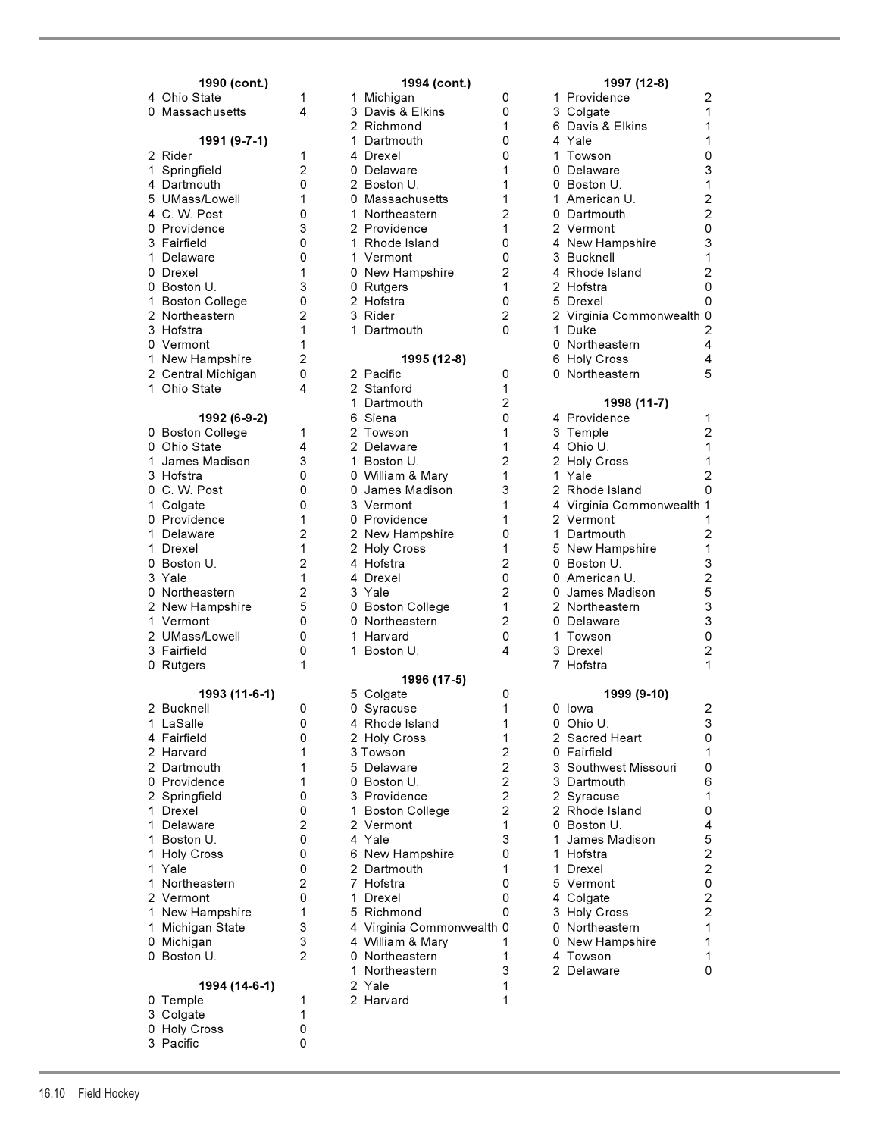# **1990 (cont.)** 1994 (cont.) 2 Central Michigan 0<br>1 Ohio State 1 1992 (6-9-2) 0 Providence 1<br>1 2 Springfield 0 **1994 (14-6-1)** 2 Yale 1

0 Temple 1 2 Harvard 1 2 1 3 Colgate 1 0 Holy Cross 0<br>3 Pacific 0 3 Pacific 0

## 4 Ohio State 1 1 Michigan 0 1 Providence 2 0 Massachusetts 4 3 Davis & Elkins 0 3 Davis 2 Richmond 2 Richmond 1 6 Davis & Elkins 1 **1991 (9-7-1)** 1 Dartmouth 0 2 Rider 1 4 Drexel 0 1 Towson 0 1 Springfield 2 0 Delaware 3 1 4 Dartmouth 0 2 Boston U. 1 0 Boston U. 1 5 UMass/Lowell 1 0 Massachusetts 1<br>1 Q. W. Post 1 Northeastern 2 4 C. W. Post 0 1 Northeastern 2<br>0 Providence 3 2 Providence 1 2 Providence 3 Fairfield 0 1 Rhode Island 0 1 Delaware 0 1 Vermont 0 3 Bucknell 1 0 Drexel 1 0 New Hampshire 2<br>1 0 Boston U. 3 0 Rutgers 1 0 Boston U. 3 0 Rutgers 1 2 Hofstra 0 1 Boston College 0 2 Hofstra 0 5 Drexel 0 2 Northeastern 2 3 Rider 2 2 Virginia Commonwealth 0 1 Dartmouth 0 Vermont 1 0 Northeastern 4 1 New Hampshire 2 **1995 (12-8)** 6 Holy Cross 4 1 Ohio State **4** 2 Stanford 1 1 Dartmouth 2 **1998 (11-7)** 0 Boston College 1 3 Towson 1 0 Ohio State **4** 2 Delaware 1 1 1 James Madison 3 1 Boston U. 2 2 Holy Cross 1 3 Hofstra 0 0 William & Mary 1 1 Yale 2 0 C. W. Post 0 0 James Madison 3<br>1 Colgate 0 3 Vermont 1 1 Colgate 0 3 Vermont 1 4 Virginia Commonwealth 1 0 Providence 1 0 Providence 1 1 Delaware 2 2 New Hampshire 0 1 Drexel 1 2 Holy Cross 1<br>1 3 New Hampshire 1 2 4 Hofstra 0 Boston U. 2 4 Hofstra 2 0 Boston U. 3 3 Yale 1 4 Drexel 0 0 American U. 2 0 Northeastern 2 3 Yale 2<br>2 New Hampshire 5 0 Boston College 1 2 New Hampshire 5 0 Boston College 1 1 Vermont 0 0 0 Northeastern 2 2 UMass/Lowell 0 1 Harvard 0 1 Towson 0 3 Fairfield 0 1 Boston U. 4 0 Rutgers 1 7 Hofstra 1 **1996 (17-5) 1993 (11-6-1)** 5 Colgate 0 **1993 (11-6-1)** 5 Colgate 0 **1** 0 Syracuse 1 LaSalle 0 4 Rhode Island 1 0 Ohio U. 3 4 Fairfield 1 0 2 Holy Cross 1<br>1 2 Harvard 2 1 2 3 Towson 2 2 Harvard 1 3 Towson 2 0 Fairfield 1 2 Dartmouth 1 5 Delaware 2 2<br>1 0 Boston U. 2 Springfield 0 3 Providence 2 1 Drexel 0 1 Boston College 2 1 Delaware 2 2 Vermont 1 0 Boston U. 4 1 Boston U. 0 4 Yale 3 1 James Madison 5 1 Holy Cross 1 0 6 New Hampshire 1 0<br>1 Yale 1 1 0 2 Dartmouth 1 1 0 2 Dartmouth<br>2 7 Hofstra 1 Northeastern 2 7 Hofstra 0 5 Vermont 0 2 Vermont 0 1 Drexel 0 4 Colgate 2 1 New Hampshire 1 5 Richmond 0 3 1 0 3 1 0 3 1 1 3 3 4 Virginia Commonwealth 0 1 Michigan State 3 4 Virginia Commonwealth 0 0 0 1 Northeastern 1 0 Michigan 3 4 William & Mary 1 0 New Hampshire 1 0 Northeastern 1 Northeastern 3 2 Delaware 0

|                                                                                                          | 1997 (12-8)                                                                                                                                                                                                                                                                                                  |                                                                                                                                           |
|----------------------------------------------------------------------------------------------------------|--------------------------------------------------------------------------------------------------------------------------------------------------------------------------------------------------------------------------------------------------------------------------------------------------------------|-------------------------------------------------------------------------------------------------------------------------------------------|
| 1.<br>6<br>0                                                                                             | Providence<br>3 Colgate<br>Davis & Elkins<br>4 Yale<br>1 Towson<br>0 Delaware<br>0 Boston U.<br>1 American U.<br>0 Dartmouth<br>2 Vermont<br>4 New Hampshire<br>3 Bucknell<br>4 Rhode Island<br>2 Hofstra<br>5 Drexel<br>2 Virginia Commonwealth<br>1 Duke<br>0 Northeastern<br>6 Holy Cross<br>Northeastern | 2<br>1<br>1<br>1<br>0<br>3<br>$1220$<br>3<br>$\mathbf 1$<br>$\frac{2}{0}$<br>0<br>0<br>$\overline{c}$<br>4<br>4<br>5                      |
|                                                                                                          | 1998 (11-7)                                                                                                                                                                                                                                                                                                  |                                                                                                                                           |
| 4<br>3<br>4<br>$\mathbf{1}$<br>3<br>$\overline{7}$                                                       | Providence<br>Temple<br>4 Ohio U.<br>2 Holy Cross<br>1 Yale<br>2 Rhode Island<br>Virginia Commonwealth<br>2 Vermont<br>1 Dartmouth<br>5 New Hampshire<br>0 Boston U.<br>0 American U.<br>0 James Madison<br>2 Northeastern<br>0 Delaware<br>Towson<br>Drexel<br>Hofstra                                      | 1<br>$\overline{c}$<br>1<br>$\frac{1}{2}$<br>0<br>$\mathbf 1$<br>1<br>$\overline{c}$<br>132530<br>$\overline{\mathbf{c}}$<br>$\mathbf{1}$ |
|                                                                                                          | 1999 (9-10)                                                                                                                                                                                                                                                                                                  |                                                                                                                                           |
| 0<br>0<br>2<br>0<br>3<br>3<br>$\frac{2}{2}$<br>0<br>1<br>$\mathbf{1}$<br>1<br>5<br>4<br>3<br>0<br>0<br>4 | lowa<br>Ohio U.<br>Sacred Heart<br>Fairfield<br>Southwest Missouri<br>Dartmouth<br>Syracuse<br>Rhode Island<br>Boston U.<br>James Madison<br>Hofstra<br>Drexel<br>Vermont<br>Colgate<br><b>Holy Cross</b><br>Northeastern<br>New Hampshire<br>Towson                                                         | 2<br>3<br>0<br>1<br>0<br>6<br>1<br>0<br>4522022<br>$\overline{1}$<br>1<br>1                                                               |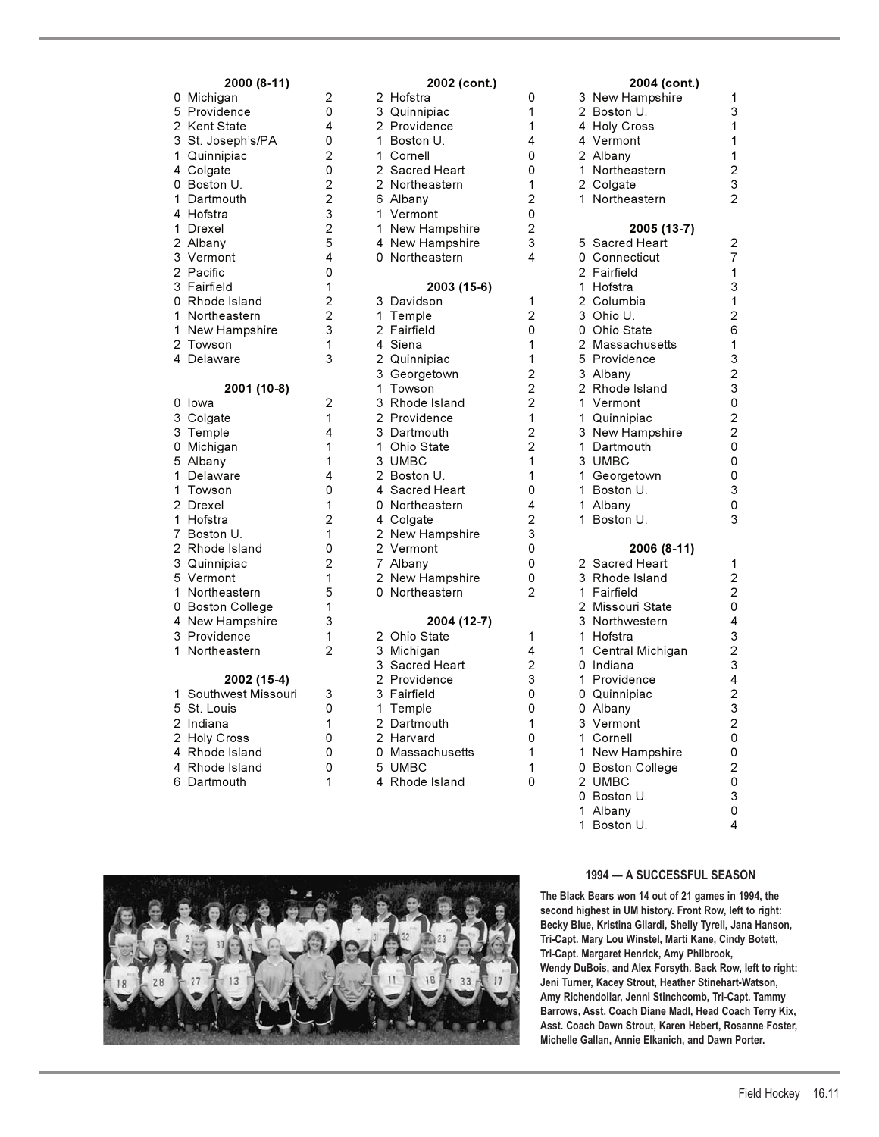## **2000 (8-11) 2002 (cont.) 2004 (cont.)**

| 0<br>$\frac{5}{2}$<br>3<br>$\overline{1}$<br>4<br>0<br>1<br>4<br>1<br>$\frac{2}{3}$<br>$\overline{c}$<br>3<br>0<br>1<br>1<br>$\overline{c}$<br>4 | Michigan<br>Providence<br>Kent State<br>St. Joseph's/PA<br>Quinnipiac<br>Colgate<br>Boston U.<br>Dartmouth<br>Hofstra<br>Drexel<br>Albany<br>Vermont<br>Pacific<br>Fairfield<br>Rhode Island<br>Northeastern<br>New Hampshire<br>Towson<br>Delaware |
|--------------------------------------------------------------------------------------------------------------------------------------------------|-----------------------------------------------------------------------------------------------------------------------------------------------------------------------------------------------------------------------------------------------------|
|                                                                                                                                                  | 2001 (10-8)                                                                                                                                                                                                                                         |
| 0                                                                                                                                                | Iowa                                                                                                                                                                                                                                                |
| 3                                                                                                                                                | Colgate<br>Temple                                                                                                                                                                                                                                   |
| 3<br>0<br>5                                                                                                                                      | Michigan<br>Albany                                                                                                                                                                                                                                  |
| $\mathbf{1}$<br>$\overline{1}$                                                                                                                   | Delaware<br>Towson                                                                                                                                                                                                                                  |
| $\overline{c}$<br>$\frac{1}{7}$                                                                                                                  | Drexel<br>Hofstra<br>Boston U.                                                                                                                                                                                                                      |
| $\overline{c}$                                                                                                                                   | Rhode Island<br>Quinnipiac                                                                                                                                                                                                                          |
| $\begin{array}{c} 3 \\ 5 \\ 1 \end{array}$                                                                                                       | Vermont<br>Northeastern                                                                                                                                                                                                                             |
| 3<br>1                                                                                                                                           | 0 Boston College<br>4 New Hampshire<br>Providence                                                                                                                                                                                                   |

| 1 Southwest Missouri | 3 |
|----------------------|---|
| 5 St. Louis          | ŋ |
| 2 Indiana            | 1 |
| 2 Holy Cross         | ŋ |
| 4 Rhode Island       | ŋ |
| 4 Rhode Island       | ŋ |
| 6 Dartmouth          |   |

|                      |                           | $\sim$ $\sim$ $\sim$ $\sim$ $\sim$ $\sim$ |                | $-00 + 10$         |
|----------------------|---------------------------|-------------------------------------------|----------------|--------------------|
| 0 Michigan           | 2                         | 2 Hofstra                                 | 0              | 3 New Hampshire    |
| 5 Providence         | 0                         | 3 Quinnipiac                              | 1              | 2 Boston U.        |
| 2  Kent State        | 4                         | 2 Providence                              | 1              | 4 Holy Cross       |
| 3 St. Joseph's/PA    | 0                         | 1 Boston U.                               | 4              | 4 Vermont          |
| 1 Quinnipiac         | 2                         | 1 Cornell                                 | 0              | 2 Albany           |
| 4 Colgate            | 0                         | 2 Sacred Heart                            | 0              | 1 Northeastern     |
| 0 Boston U.          | $\overline{c}$            | 2 Northeastern                            | 1              | 2 Colgate          |
| 1 Dartmouth          | $\overline{c}$            | 6 Albany                                  | $\overline{c}$ | 1 Northeastern     |
| 4 Hofstra            | $\ensuremath{\mathsf{3}}$ | 1 Vermont                                 | 0              |                    |
| 1 Drexel             | $\overline{c}$            | 1 New Hampshire                           | 2              | 2005 (13-7)        |
| 2 Albany             | 5                         | 4 New Hampshire                           | 3              | 5 Sacred Heart     |
| 3 Vermont            | 4                         | 0 Northeastern                            | 4              | 0 Connecticut      |
| 2 Pacific            | 0                         |                                           |                | 2 Fairfield        |
| 3 Fairfield          | 1                         | 2003 (15-6)                               |                | 1 Hofstra          |
| 0 Rhode Island       | $\overline{c}$            | 3 Davidson                                | 1              | 2 Columbia         |
| 1 Northeastern       | $\overline{\mathbf{c}}$   | 1 Temple                                  | 2              | 3 Ohio U.          |
| 1 New Hampshire      | 3                         | 2 Fairfield                               | 0              | 0 Ohio State       |
| 2 Towson             | 1                         | 4 Siena                                   | 1              | 2 Massachusetts    |
| 4 Delaware           | 3                         | 2 Quinnipiac                              | 1              | 5 Providence       |
|                      |                           | 3 Georgetown                              | 2              | 3 Albany           |
| 2001 (10-8)          |                           | 1 Towson                                  | $\overline{c}$ | 2 Rhode Island     |
| 0 Iowa               | 2                         | 3 Rhode Island                            | $\overline{2}$ | 1 Vermont          |
| 3 Colgate            | 1                         | 2 Providence                              | 1              | 1 Quinnipiac       |
| 3 Temple             | 4                         | 3 Dartmouth                               | 2              | 3 New Hampshire    |
| 0 Michigan           | $\mathbf{1}$              | 1 Ohio State                              | 2              | 1 Dartmouth        |
| 5 Albany             | 1                         | 3 UMBC                                    | 1              | 3 UMBC             |
| 1 Delaware           | 4                         | 2 Boston U.                               | 1              | 1 Georgetown       |
| 1 Towson             | 0                         | 4 Sacred Heart                            | 0              | 1 Boston U.        |
| 2 Drexel             | 1                         | 0 Northeastern                            | 4              | 1 Albany           |
| 1 Hofstra            | $\overline{2}$            | 4 Colgate                                 | 2              | 1 Boston U.        |
| 7 Boston U.          | $\mathbf{1}$              | 2 New Hampshire                           | 3              |                    |
| 2  Rhode Island      | 0                         | 2 Vermont                                 | 0              | 2006 (8-11)        |
| 3 Quinnipiac         | $\overline{c}$            | 7 Albany                                  | 0              | 2 Sacred Heart     |
| 5 Vermont            | 1                         | 2 New Hampshire                           | 0              | 3 Rhode Island     |
| 1 Northeastern       | 5                         | 0 Northeastern                            | $\overline{2}$ | 1 Fairfield        |
| 0 Boston College     | 1                         |                                           |                | 2 Missouri State   |
| 4 New Hampshire      | 3                         | 2004 (12-7)                               |                | 3 Northwestern     |
| 3 Providence         | 1                         | 2 Ohio State                              | 1              | 1 Hofstra          |
| 1 Northeastern       | 2                         | 3 Michigan                                | 4              | 1 Central Michigan |
|                      |                           | 3 Sacred Heart                            | $\overline{c}$ | 0 Indiana          |
| 2002 (15-4)          |                           | 2 Providence                              | 3              | 1 Providence       |
| 1 Southwest Missouri | 3                         | 3 Fairfield                               | 0              | 0 Quinnipiac       |
| 5 St. Louis          | 0                         | 1 Temple                                  | 0              | 0 Albany           |
| 2 Indiana            | 1                         | 2 Dartmouth                               | 1              | 3 Vermont          |
| 2 Holy Cross         | 0                         | 2 Harvard                                 | 0              | 1 Cornell          |
| 4  Rhode Island      | 0                         | 0 Massachusetts                           | 1              | 1 New Hampshire    |
| 4 Rhode Island       | 0                         | 5 UMBC                                    | 1              | 0 Boston College   |
| 6 Dartmouth          | 1                         | 4 Rhode Island                            | 0              | 2 UMBC             |
|                      |                           |                                           |                |                    |

| $1000 (0 - 1)$       |                | 2002 (00114 <i>)</i>          |                         | $1007$ (00114)              |                         |
|----------------------|----------------|-------------------------------|-------------------------|-----------------------------|-------------------------|
| 0 Michigan           | 2              | 2 Hofstra                     | 0                       | 3 New Hampshire             | 1                       |
| 5 Providence         | 0              | 3 Quinnipiac                  | 1                       | 2 Boston U.                 | 3                       |
| 2 Kent State         | 4              | 2 Providence                  | 1                       | 4 Holy Cross                | 1                       |
| 3 St. Joseph's/PA    | 0              | 1 Boston U.                   | 4                       | 4 Vermont                   | 1                       |
| 1 Quinnipiac         | 2              | 1 Cornell                     | 0                       | 2 Albany                    | 1                       |
| 4 Colgate            | 0              | 2 Sacred Heart                | 0                       | 1 Northeastern              | $\overline{\mathbf{c}}$ |
| 0 Boston U.          | 2              | 2 Northeastern                | 1                       | 2 Colgate                   | 3                       |
| 1 Dartmouth          | $\overline{c}$ | 6 Albany                      | $\overline{2}$          | 1 Northeastern              | 2                       |
| 4 Hofstra            | 3              | 1 Vermont                     | 0                       |                             |                         |
| 1 Drexel             | $\overline{2}$ | 1 New Hampshire               | 2                       | 2005 (13-7)                 |                         |
| 2 Albany             | 5              | 4 New Hampshire               | 3                       | 5 Sacred Heart              | 2                       |
| 3 Vermont            | 4              | 0 Northeastern                | 4                       | 0 Connecticut               | $\overline{7}$          |
| 2 Pacific            | 0              |                               |                         | 2 Fairfield                 | 1                       |
| 3 Fairfield          | 1              | 2003 (15-6)                   |                         | 1 Hofstra                   | 3                       |
| 0 Rhode Island       | 2              | 3 Davidson                    | 1                       | 2 Columbia                  | 1                       |
| 1 Northeastern       | $\overline{2}$ | 1 Temple                      | $\overline{2}$          | 3 Ohio U.                   | $\mathbf 2$             |
| 1 New Hampshire      | 3              | 2 Fairfield                   | 0                       | 0 Ohio State                | 6                       |
| 2 Towson             | 1              | 4 Siena                       | 1                       | 2 Massachusetts             | 1                       |
| 4 Delaware           | 3              | 2 Quinnipiac                  | 1                       | 5 Providence                | 3                       |
|                      |                | 3 Georgetown                  | $\overline{\mathbf{c}}$ | 3 Albany                    | $\mathbf 2$             |
| 2001 (10-8)          |                | 1 Towson                      | 2                       | 2 Rhode Island              | 3                       |
| 0 lowa               | 2              | 3 Rhode Island                | $\overline{2}$          | 1 Vermont                   | 0                       |
| 3 Colgate            | 1              | 2 Providence                  | 1                       | 1 Quinnipiac                | 2                       |
| 3 Temple             | 4              | 3 Dartmouth                   | 2                       | 3 New Hampshire             | $\overline{c}$          |
| 0 Michigan           | 1              | 1 Ohio State                  | $\overline{2}$          | 1 Dartmouth                 | 0                       |
| 5 Albany             | 1              | 3 UMBC                        | $\mathbf{1}$            | 3 UMBC                      | 0                       |
| 1 Delaware           | 4              |                               | 1                       |                             | 0                       |
| 1 Towson             | 0              | 2 Boston U.<br>4 Sacred Heart | 0                       | 1 Georgetown<br>1 Boston U. | 3                       |
|                      |                |                               |                         |                             |                         |
| 2 Drexel             | 1              | 0 Northeastern                | 4                       | 1 Albany                    | 0                       |
| 1 Hofstra            | 2              | 4 Colgate                     | 2                       | 1 Boston U.                 | 3                       |
| 7 Boston U.          | 1              | 2 New Hampshire               | 3                       |                             |                         |
| 2 Rhode Island       | 0              | 2 Vermont                     | 0                       | 2006 (8-11)                 |                         |
| 3 Quinnipiac         | 2              | 7 Albany                      | 0                       | 2 Sacred Heart              | 1                       |
| 5 Vermont            | 1              | 2 New Hampshire               | 0                       | 3 Rhode Island              | 2                       |
| 1 Northeastern       | 5              | 0 Northeastern                | 2                       | 1 Fairfield                 | $\overline{c}$          |
| 0 Boston College     | 1              |                               |                         | 2 Missouri State            | 0                       |
| 4 New Hampshire      | 3              | 2004 (12-7)                   |                         | 3 Northwestern              | 4                       |
| 3 Providence         | 1              | 2 Ohio State                  | 1                       | 1 Hofstra                   | 3                       |
| 1 Northeastern       | 2              | 3 Michigan                    | 4                       | 1 Central Michigan          | $\overline{c}$          |
|                      |                | 3 Sacred Heart                | $\overline{2}$          | 0 Indiana                   | 3                       |
| 2002 (15-4)          |                | 2 Providence                  | 3                       | 1 Providence                | 4                       |
| 1 Southwest Missouri | 3              | 3 Fairfield                   | 0                       | 0 Quinnipiac                | $\mathbf 2$             |
| 5 St. Louis          | 0              | 1 Temple                      | 0                       | 0 Albany                    | 3                       |
| 2 Indiana            | 1              | 2 Dartmouth                   | 1                       | 3 Vermont                   | $\overline{c}$          |
| 2 Holy Cross         | 0              | 2 Harvard                     | 0                       | 1 Cornell                   | 0                       |
| 4 Rhode Island       | 0              | 0 Massachusetts               | $\mathbf{1}$            | 1 New Hampshire             | 0                       |
| 4 Rhode Island       | 0              | 5 UMBC                        | 1                       | 0 Boston College            | $\mathbf 2$             |
| 6 Dartmouth          | 1              | 4 Rhode Island                | 0                       | 2 UMBC                      | 0                       |
|                      |                |                               |                         | 0 Boston U.                 | 3                       |
|                      |                |                               |                         | 1 Albany                    | 0                       |
|                      |                |                               |                         | 1 Boston U.                 | 4                       |
|                      |                |                               |                         |                             |                         |



#### **1994 — A SUCCESSFUL SEASON**

**The Black Bears won 14 out of 21 games in 1994, the second highest in UM history. Front Row, left to right: Becky Blue, Kristina Gilardi, Shelly Tyrell, Jana Hanson, Tri-Capt. Mary Lou Winstel, Marti Kane, Cindy Botett, Tri-Capt. Margaret Henrick, Amy Philbrook, Wendy DuBois, and Alex Forsyth. Back Row, left to right: Jeni Turner, Kacey Strout, Heather Stinehart-Watson, Amy Richendollar, Jenni Stinchcomb, Tri-Capt. Tammy Barrows, Asst. Coach Diane Madl, Head Coach Terry Kix, Asst. Coach Dawn Strout, Karen Hebert, Rosanne Foster, Michelle Gallan, Annie Elkanich, and Dawn Porter.**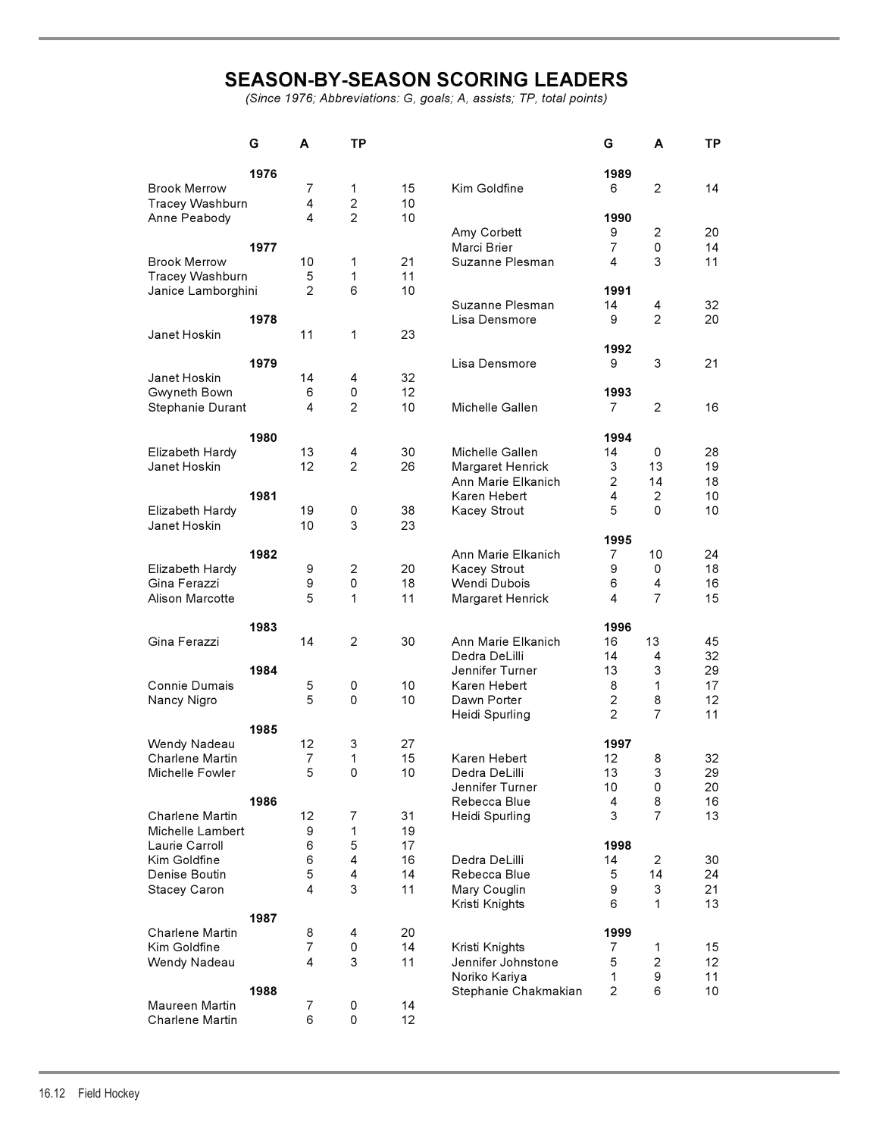# **SEASON-BY-SEASON SCORING LEADERS**

*(Since 1976; Abbreviations: G, goals; A, assists; TP, total points)*

|                        | G    | A              | ΤP             |    |                      | G              | A                   | TP              |
|------------------------|------|----------------|----------------|----|----------------------|----------------|---------------------|-----------------|
|                        | 1976 |                |                |    |                      | 1989           |                     |                 |
| <b>Brook Merrow</b>    |      | 7              | 1              | 15 | Kim Goldfine         | 6              | 2                   | 14              |
| <b>Tracey Washburn</b> |      | 4              | $\mathbf{2}$   | 10 |                      |                |                     |                 |
| Anne Peabody           |      | 4              | $\overline{2}$ | 10 |                      | 1990           |                     |                 |
|                        |      |                |                |    |                      | 9              |                     |                 |
|                        | 1977 |                |                |    | Amy Corbett          |                | $\overline{c}$<br>0 | 20              |
|                        |      |                |                |    | Marci Brier          | 7              |                     | 14              |
| <b>Brook Merrow</b>    |      | 10             | 1              | 21 | Suzanne Plesman      | 4              | 3                   | 11              |
| <b>Tracey Washburn</b> |      | 5              | 1              | 11 |                      |                |                     |                 |
| Janice Lamborghini     |      | $\overline{2}$ | 6              | 10 |                      | 1991           |                     |                 |
|                        |      |                |                |    | Suzanne Plesman      | 14             | 4                   | 32              |
|                        | 1978 |                |                |    | Lisa Densmore        | 9              | $\overline{2}$      | 20              |
| Janet Hoskin           |      | 11             | 1              | 23 |                      |                |                     |                 |
|                        |      |                |                |    |                      | 1992           |                     |                 |
|                        | 1979 |                |                |    | Lisa Densmore        | 9              | 3                   | 21              |
| Janet Hoskin           |      |                |                |    |                      |                |                     |                 |
|                        |      | 14             | 4              | 32 |                      |                |                     |                 |
| Gwyneth Bown           |      | 6              | 0              | 12 |                      | 1993           |                     |                 |
| Stephanie Durant       |      | 4              | $\overline{2}$ | 10 | Michelle Gallen      | 7              | 2                   | 16              |
|                        |      |                |                |    |                      |                |                     |                 |
|                        | 1980 |                |                |    |                      | 1994           |                     |                 |
| Elizabeth Hardy        |      | 13             | 4              | 30 | Michelle Gallen      | 14             | 0                   | 28              |
| Janet Hoskin           |      | 12             | $\overline{2}$ | 26 | Margaret Henrick     | 3              | 13                  | 19              |
|                        |      |                |                |    |                      |                |                     |                 |
|                        |      |                |                |    | Ann Marie Elkanich   | $\overline{2}$ | 14                  | 18              |
|                        | 1981 |                |                |    | Karen Hebert         | 4              | 2                   | 10              |
| Elizabeth Hardy        |      | 19             | 0              | 38 | Kacey Strout         | 5              | 0                   | 10              |
| Janet Hoskin           |      | 10             | 3              | 23 |                      |                |                     |                 |
|                        |      |                |                |    |                      | 1995           |                     |                 |
|                        | 1982 |                |                |    | Ann Marie Elkanich   | 7              | 10                  | 24              |
| Elizabeth Hardy        |      | 9              | 2              | 20 | Kacey Strout         | 9              | 0                   | 18              |
| Gina Ferazzi           |      | 9              | 0              | 18 | Wendi Dubois         | 6              | $\overline{4}$      | 16              |
|                        |      |                |                |    |                      |                |                     |                 |
| Alison Marcotte        |      | 5              | 1              | 11 | Margaret Henrick     | 4              | $\overline{7}$      | 15              |
|                        |      |                |                |    |                      |                |                     |                 |
|                        | 1983 |                |                |    |                      | 1996           |                     |                 |
| Gina Ferazzi           |      | 14             | $\overline{c}$ | 30 | Ann Marie Elkanich   | 16             | 13                  | 45              |
|                        |      |                |                |    | Dedra DeLilli        | 14             | 4                   | 32              |
|                        | 1984 |                |                |    | Jennifer Turner      | 13             | 3                   | 29              |
| Connie Dumais          |      | 5              | 0              | 10 | Karen Hebert         | 8              | $\mathbf{1}$        | 17              |
| Nancy Nigro            |      | 5              | $\mathbf 0$    | 10 | Dawn Porter          | 2              | 8                   | 12              |
|                        |      |                |                |    |                      |                | $\overline{7}$      |                 |
|                        |      |                |                |    | Heidi Spurling       | 2              |                     | 11              |
|                        | 1985 |                |                |    |                      |                |                     |                 |
| Wendy Nadeau           |      | 12             | 3              | 27 |                      | 1997           |                     |                 |
| Charlene Martin        |      | $\overline{7}$ | 1              | 15 | Karen Hebert         | 12             | 8                   | 32              |
| Michelle Fowler        |      | 5              | 0              | 10 | Dedra DeLilli        | 13             | 3                   | 29              |
|                        |      |                |                |    | Jennifer Turner      | 10             | 0                   | 20              |
|                        | 1986 |                |                |    | Rebecca Blue         | 4              | 8                   | 16              |
| Charlene Martin        |      | 12             | 7              | 31 | Heidi Spurling       | 3              | $\overline{7}$      | 13              |
|                        |      |                |                |    |                      |                |                     |                 |
| Michelle Lambert       |      | 9              | 1              | 19 |                      |                |                     |                 |
| Laurie Carroll         |      | 6              | 5              | 17 |                      | 1998           |                     |                 |
| Kim Goldfine           |      | 6              | 4              | 16 | Dedra DeLilli        | 14             | 2                   | 30              |
| Denise Boutin          |      | 5              | 4              | 14 | Rebecca Blue         | 5              | 14                  | 24              |
| Stacey Caron           |      | 4              | 3              | 11 | Mary Couglin         | 9              | 3                   | 21              |
|                        |      |                |                |    | Kristi Knights       | 6              | 1                   | 13              |
|                        | 1987 |                |                |    |                      |                |                     |                 |
| Charlene Martin        |      | 8              | 4              | 20 |                      | 1999           |                     |                 |
|                        |      | 7              |                |    |                      |                |                     |                 |
| Kim Goldfine           |      |                | 0              | 14 | Kristi Knights       | $\overline{7}$ | 1                   | 15              |
| Wendy Nadeau           |      | 4              | 3              | 11 | Jennifer Johnstone   | 5              | $\overline{c}$      | 12 <sup>°</sup> |
|                        |      |                |                |    | Noriko Kariya        | 1              | 9                   | 11              |
|                        | 1988 |                |                |    | Stephanie Chakmakian | 2              | 6                   | 10              |
| Maureen Martin         |      | 7              | 0              | 14 |                      |                |                     |                 |
| Charlene Martin        |      | 6              | 0              | 12 |                      |                |                     |                 |
|                        |      |                |                |    |                      |                |                     |                 |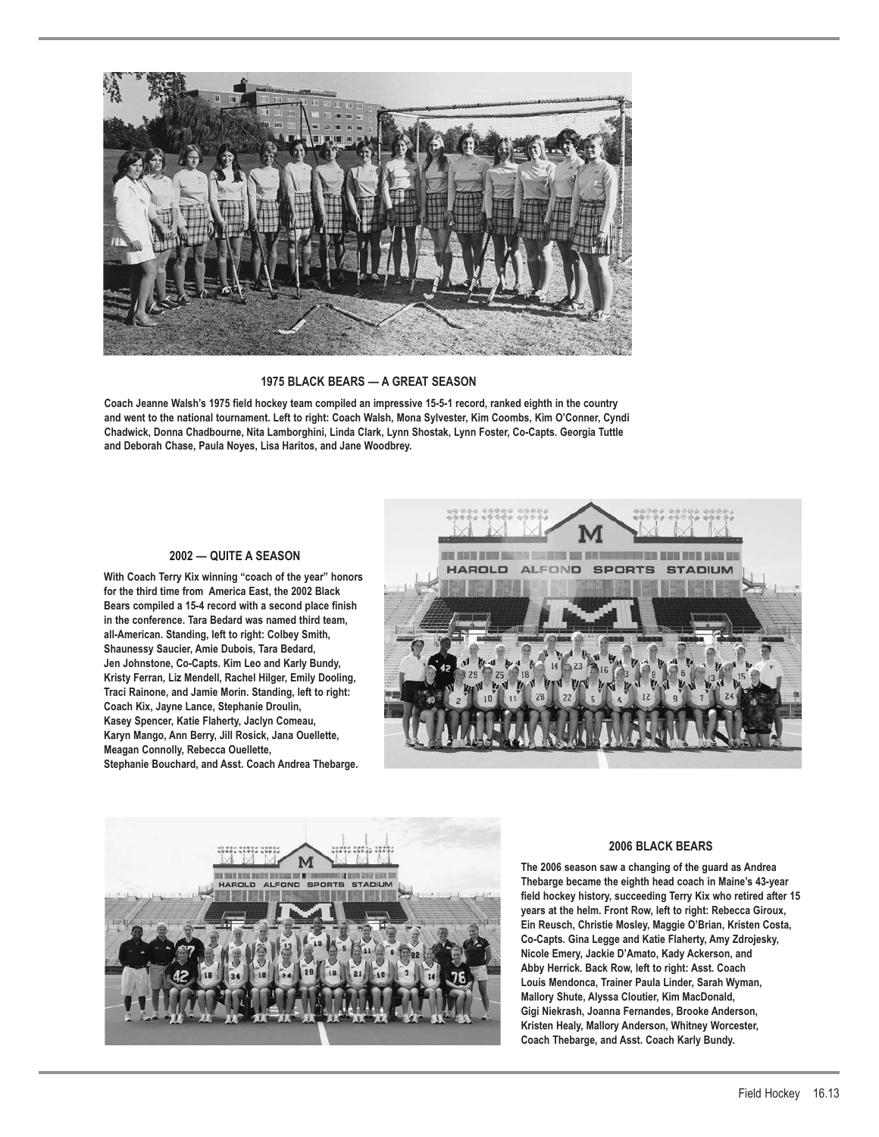

**1975 BLACK BEARS — A GREAT SEASON**

**Coach Jeanne Walsh's 1975 field hockey team compiled an impressive 15-5-1 record, ranked eighth in the country and went to the national tournament. Left to right: Coach Walsh, Mona Sylvester, Kim Coombs, Kim O'Conner, Cyndi Chadwick, Donna Chadbourne, Nita Lamborghini, Linda Clark, Lynn Shostak, Lynn Foster, Co-Capts. Georgia Tuttle and Deborah Chase, Paula Noyes, Lisa Haritos, and Jane Woodbrey.**

## **2002 — QUITE A SEASON**

**With Coach Terry Kix winning "coach of the year" honors for the third time from America East, the 2002 Black Bears compiled a 15-4 record with a second place finish in the conference. Tara Bedard was named third team, all-American. Standing, left to right: Colbey Smith, Shaunessy Saucier, Amie Dubois, Tara Bedard, Jen Johnstone, Co-Capts. Kim Leo and Karly Bundy, Kristy Ferran, Liz Mendell, Rachel Hilger, Emily Dooling, Traci Rainone, and Jamie Morin. Standing, left to right: Coach Kix, Jayne Lance, Stephanie Droulin, Kasey Spencer, Katie Flaherty, Jaclyn Comeau, Karyn Mango, Ann Berry, Jill Rosick, Jana Ouellette, Meagan Connolly, Rebecca Ouellette, Stephanie Bouchard, and Asst. Coach Andrea Thebarge.**





## **2006 BLACK BEARS**

**The 2006 season saw a changing of the guard as Andrea Thebarge became the eighth head coach in Maine's 43-year field hockey history, succeeding Terry Kix who retired after 15 years at the helm. Front Row, left to right: Rebecca Giroux, Ein Reusch, Christie Mosley, Maggie O'Brian, Kristen Costa, Co-Capts. Gina Legge and Katie Flaherty, Amy Zdrojesky, Nicole Emery, Jackie D'Amato, Kady Ackerson, and Abby Herrick. Back Row, left to right: Asst. Coach Louis Mendonca, Trainer Paula Linder, Sarah Wyman, Mallory Shute, Alyssa Cloutier, Kim MacDonald, Gigi Niekrash, Joanna Fernandes, Brooke Anderson, Kristen Healy, Mallory Anderson, Whitney Worcester, Coach Thebarge, and Asst. Coach Karly Bundy.**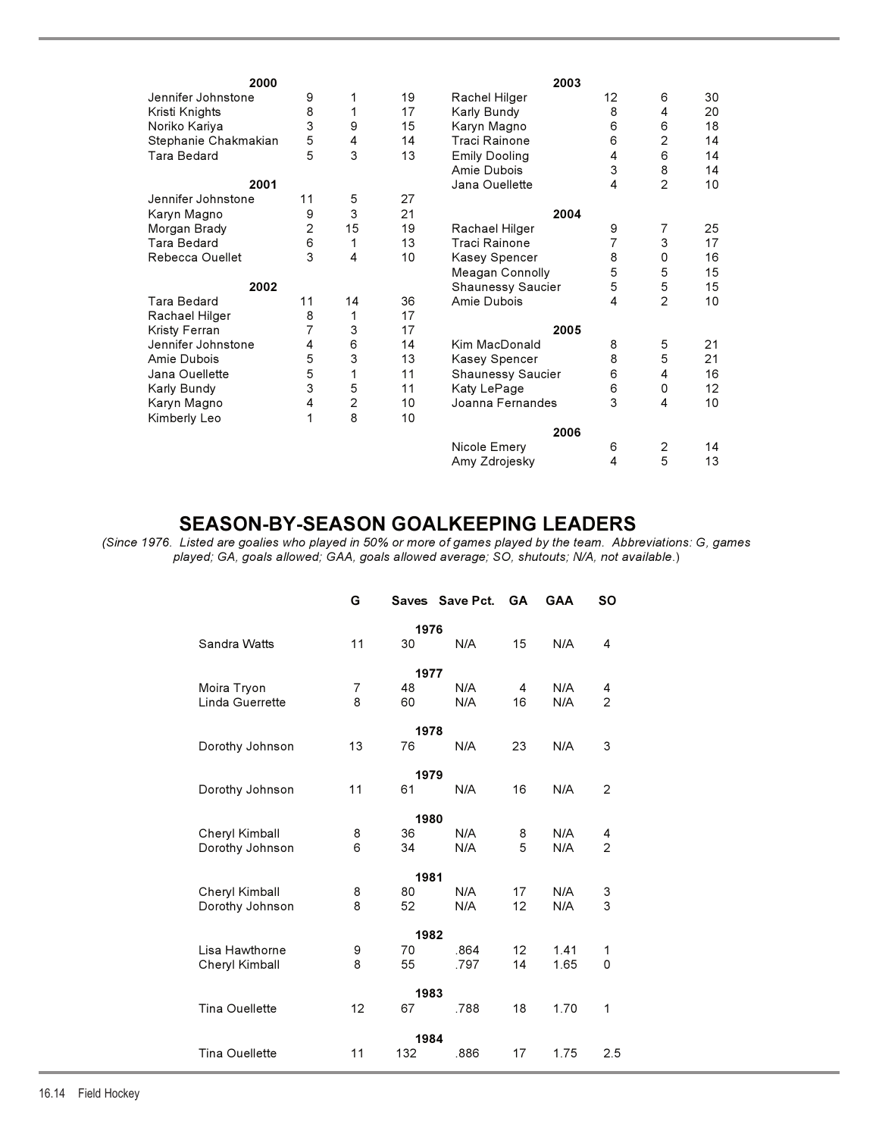| 2000                 |    |                           |    | 2003                 |    |                |    |
|----------------------|----|---------------------------|----|----------------------|----|----------------|----|
| Jennifer Johnstone   | 9  | 1                         | 19 | Rachel Hilger        | 12 | 6              | 30 |
| Kristi Knights       | 8  | 1                         | 17 | Karly Bundy          | 8  | 4              | 20 |
| Noriko Kariya        | 3  | 9                         | 15 | Karyn Magno          | 6  | 6              | 18 |
| Stephanie Chakmakian | 5  | 4                         | 14 | Traci Rainone        | 6  | $\overline{2}$ | 14 |
| Tara Bedard          | 5  | 3                         | 13 | <b>Emily Dooling</b> | 4  | 6              | 14 |
|                      |    |                           |    | Amie Dubois          | 3  | 8              | 14 |
| 2001                 |    |                           |    | Jana Ouellette       | 4  | $\overline{2}$ | 10 |
| Jennifer Johnstone   | 11 | 5                         | 27 |                      |    |                |    |
| Karyn Magno          | 9  | 3                         | 21 | 2004                 |    |                |    |
| Morgan Brady         | 2  | 15                        | 19 | Rachael Hilger       | 9  | $\overline{7}$ | 25 |
| Tara Bedard          | 6  | 1                         | 13 | Traci Rainone        | 7  | 3              | 17 |
| Rebecca Ouellet      | 3  | 4                         | 10 | Kasey Spencer        | 8  | 0              | 16 |
|                      |    |                           |    | Meagan Connolly      | 5  | 5              | 15 |
| 2002                 |    |                           |    |                      | 5  | 5              | 15 |
| Tara Bedard          | 11 | 14                        | 36 | Amie Dubois          | 4  | 2              | 10 |
| Rachael Hilger       | 8  | 1                         | 17 |                      |    |                |    |
| Kristy Ferran        |    | 3                         | 17 | 2005                 |    |                |    |
| Jennifer Johnstone   | 4  | 6                         | 14 | Kim MacDonald        | 8  | 5              | 21 |
| Amie Dubois          | 5  | $\ensuremath{\mathsf{3}}$ | 13 | Kasey Spencer        | 8  | 5              | 21 |
| Jana Ouellette       | 5  | 1                         | 11 | Shaunessy Saucier    | 6  | 4              | 16 |
| Karly Bundy          | 3  | 5                         | 11 | Katy LePage          | 6  | 0              | 12 |
| Karyn Magno          | 4  | $\overline{c}$            | 10 | Joanna Fernandes     | 3  | 4              | 10 |
| Kimberly Leo         | 1  | 8                         | 10 |                      |    |                |    |
|                      |    |                           |    | 2006                 |    |                |    |
|                      |    |                           |    | Nicole Emery         | 6  | 2              | 14 |
|                      |    |                           |    | Amy Zdrojesky        | 4  | 5              | 13 |

# **SEASON-BY-SEASON GOALKEEPING LEADERS**

*(Since 1976. Listed are goalies who played in 50% or more of games played by the team. Abbreviations: G, games played; GA, goals allowed; GAA, goals allowed average; SO, shutouts; N/A, not available*.)

|                       | G              |      | Saves Save Pct. | <b>GA</b> | <b>GAA</b> | SΟ             |  |  |  |  |  |
|-----------------------|----------------|------|-----------------|-----------|------------|----------------|--|--|--|--|--|
| 1976                  |                |      |                 |           |            |                |  |  |  |  |  |
| Sandra Watts          | 11             | 30   | N/A             | 15        | N/A        | 4              |  |  |  |  |  |
|                       |                | 1977 |                 |           |            |                |  |  |  |  |  |
| Moira Tryon           | $\overline{7}$ | 48   | N/A             | 4         | N/A        | 4              |  |  |  |  |  |
| Linda Guerrette       | 8              | 60   | N/A             | 16        | N/A        | 2              |  |  |  |  |  |
|                       |                | 1978 |                 |           |            |                |  |  |  |  |  |
| Dorothy Johnson       | 13             | 76   | N/A             | 23        | N/A        | 3              |  |  |  |  |  |
|                       |                |      |                 |           |            |                |  |  |  |  |  |
| 1979                  |                |      |                 |           |            |                |  |  |  |  |  |
| Dorothy Johnson       | 11             | 61   | N/A             | 16        | N/A        | 2              |  |  |  |  |  |
|                       |                | 1980 |                 |           |            |                |  |  |  |  |  |
| Cheryl Kimball        | 8              | 36   | N/A             | 8         | N/A        | 4              |  |  |  |  |  |
| Dorothy Johnson       | 6              | 34   | N/A             | 5         | N/A        | $\overline{2}$ |  |  |  |  |  |
|                       |                | 1981 |                 |           |            |                |  |  |  |  |  |
| Cheryl Kimball        | 8              | 80   | N/A             | 17        | N/A        | 3              |  |  |  |  |  |
| Dorothy Johnson       | 8              | 52   | N/A             | 12        | N/A        | 3              |  |  |  |  |  |
|                       |                | 1982 |                 |           |            |                |  |  |  |  |  |
| Lisa Hawthorne        | 9              | 70   | .864            | 12        | 1.41       | 1              |  |  |  |  |  |
| Cheryl Kimball        | 8              | 55   | .797            | 14        | 1.65       | 0              |  |  |  |  |  |
| 1983                  |                |      |                 |           |            |                |  |  |  |  |  |
| Tina Ouellette        | 12             | 67   | .788            | 18        | 1.70       | 1              |  |  |  |  |  |
|                       | 1984           |      |                 |           |            |                |  |  |  |  |  |
| <b>Tina Ouellette</b> | 11             | 132  | .886            | 17        | 1.75       | 2.5            |  |  |  |  |  |
|                       |                |      |                 |           |            |                |  |  |  |  |  |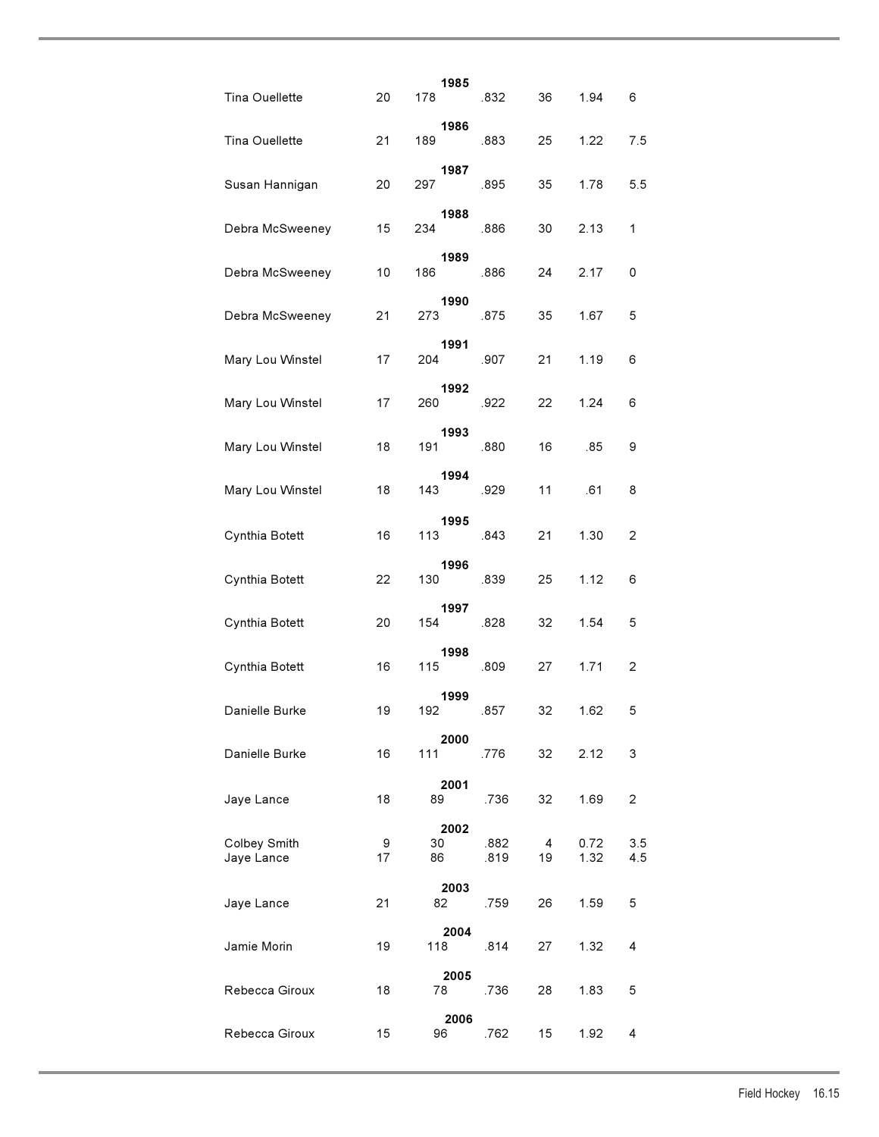| Tina Ouellette             | 20      | 1985<br>178      | .832         | 36      | 1.94         | 6          |
|----------------------------|---------|------------------|--------------|---------|--------------|------------|
| Tina Ouellette             | 21      | 1986<br>189      | .883         | 25      | 1.22         | 7.5        |
| Susan Hannigan             | 20      | 1987<br>297      | .895         | 35      | 1.78         | 5.5        |
| Debra McSweeney            | 15      | 1988<br>234      | .886         | 30      | 2.13         | 1          |
| Debra McSweeney            | 10      | 1989<br>186      | .886         | 24      | 2.17         | 0          |
| Debra McSweeney            | 21      | 1990<br>273      | .875         | 35      | 1.67         | 5          |
| Mary Lou Winstel           | 17      | 1991<br>204      | .907         | 21      | 1.19         | 6          |
| Mary Lou Winstel           | 17      | 1992<br>260      | .922         | 22      | 1.24         | 6          |
| Mary Lou Winstel           | 18      | 1993<br>191      | .880         | 16      | .85          | 9          |
| Mary Lou Winstel           | 18      | 1994<br>143      | .929         | 11      | .61          | 8          |
| Cynthia Botett             | 16      | 1995<br>113 —    | .843         | 21      | 1.30         | 2          |
| Cynthia Botett             | 22      | 1996<br>130      | .839         | 25      | 1.12         | 6          |
| Cynthia Botett             | 20      | 1997<br>154      | .828         | 32      | 1.54         | 5          |
| Cynthia Botett             | 16      | 1998<br>115      | .809         | 27      | 1.71         | 2          |
| Danielle Burke             | 19      | 1999<br>192      | .857         | 32      | 1.62         | 5          |
| Danielle Burke             | 16      | 2000<br>111      | .776         | 32      | 2.12         | 3          |
| Jaye Lance                 | 18      | 2001<br>89       | .736         | 32      | 1.69         | 2          |
| Colbey Smith<br>Jaye Lance | 9<br>17 | 2002<br>30<br>86 | .882<br>.819 | 4<br>19 | 0.72<br>1.32 | 3.5<br>4.5 |
| Jaye Lance                 | 21      | 2003<br>82       | .759         | 26      | 1.59         | 5          |
| Jamie Morin                | 19      | 2004<br>118      | .814         | 27      | 1.32         | 4          |
| Rebecca Giroux             | 18      | 2005<br>78       | .736         | 28      | 1.83         | 5          |
| Rebecca Giroux             | 15      | 2006<br>96       | .762         | 15      | 1.92         | 4          |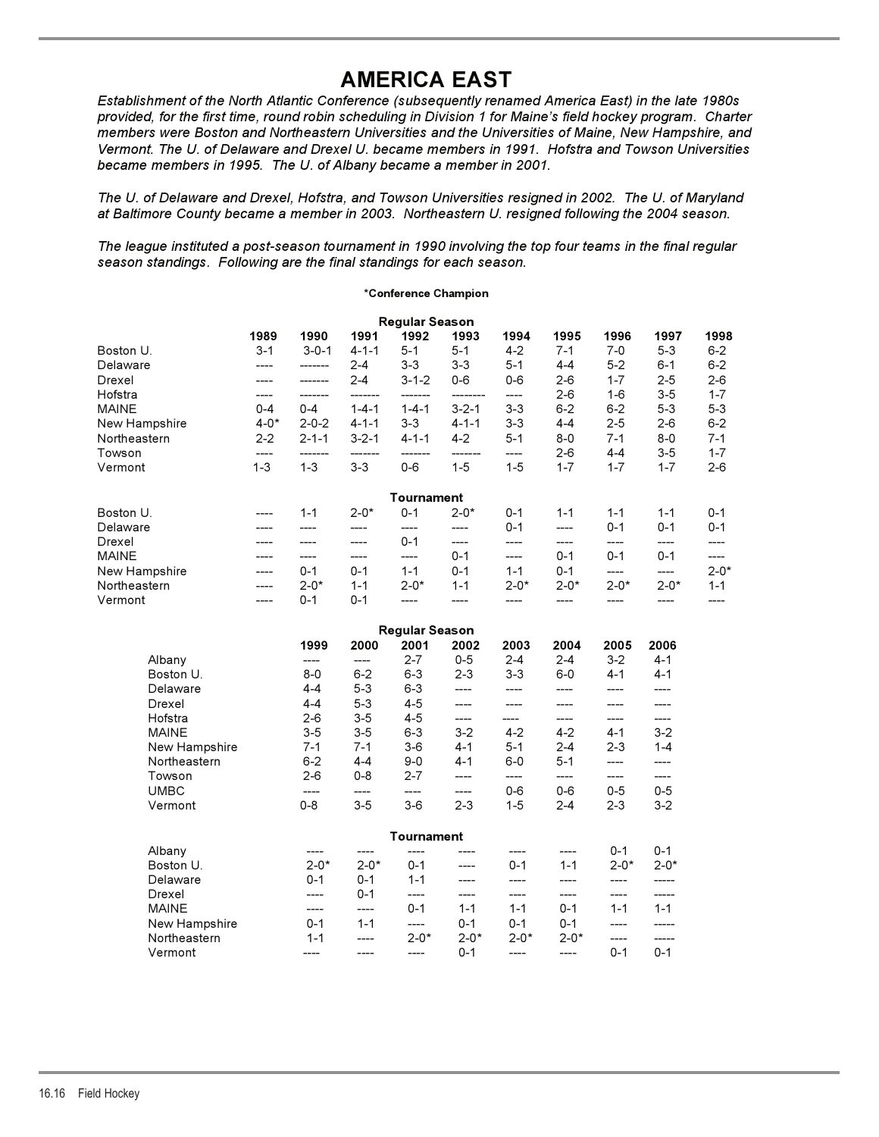# **AMERICA EAST**

*Establishment of the North Atlantic Conference (subsequently renamed America East) in the late 1980s provided, for the first time, round robin scheduling in Division 1 for Maine's field hockey program. Charter members were Boston and Northeastern Universities and the Universities of Maine, New Hampshire, and Vermont. The U. of Delaware and Drexel U. became members in 1991. Hofstra and Towson Universities became members in 1995. The U. of Albany became a member in 2001.*

*The U. of Delaware and Drexel, Hofstra, and Towson Universities resigned in 2002. The U. of Maryland at Baltimore County became a member in 2003. Northeastern U. resigned following the 2004 season.*

*The league instituted a post-season tournament in 1990 involving the top four teams in the final regular season standings. Following are the final standings for each season.*

## **\*Conference Champion**

|               |          |             |             | <b>Regular Season</b> |             |           |          |          |          |           |
|---------------|----------|-------------|-------------|-----------------------|-------------|-----------|----------|----------|----------|-----------|
|               | 1989     | 1990        | 1991        | 1992                  | 1993        | 1994      | 1995     | 1996     | 1997     | 1998      |
| Boston U.     | $3 - 1$  | $3 - 0 - 1$ | $4 - 1 - 1$ | $5 - 1$               | $5 - 1$     | $4 - 2$   | $7 - 1$  | 7-0      | $5 - 3$  | $6 - 2$   |
| Delaware      | ----     |             | $2 - 4$     | $3-3$                 | $3 - 3$     | $5 - 1$   | $4 - 4$  | $5 - 2$  | $6 - 1$  | $6 - 2$   |
| Drexel        |          |             | $2 - 4$     | $3 - 1 - 2$           | $0-6$       | $0-6$     | $2 - 6$  | $1 - 7$  | $2 - 5$  | $2 - 6$   |
| Hofstra       |          |             |             |                       |             |           | $2 - 6$  | $1 - 6$  | $3-5$    | $1 - 7$   |
| <b>MAINE</b>  | $0 - 4$  | $0 - 4$     | $1 - 4 - 1$ | $1 - 4 - 1$           | $3 - 2 - 1$ | $3 - 3$   | $6 - 2$  | $6 - 2$  | $5 - 3$  | $5 - 3$   |
| New Hampshire | $4 - 0*$ | $2 - 0 - 2$ | $4 - 1 - 1$ | $3 - 3$               | $4 - 1 - 1$ | $3 - 3$   | $4 - 4$  | $2 - 5$  | $2-6$    | $6 - 2$   |
| Northeastern  | $2 - 2$  | $2 - 1 - 1$ | $3 - 2 - 1$ | $4 - 1 - 1$           | $4-2$       | $5 - 1$   | $8 - 0$  | $7 - 1$  | $8 - 0$  | $7 - 1$   |
| Towson        | ----     |             |             |                       |             |           | $2-6$    | $4 - 4$  | $3-5$    | $1 - 7$   |
| Vermont       | $1 - 3$  | $1 - 3$     | $3 - 3$     | $0 - 6$               | $1 - 5$     | $1 - 5$   | $1 - 7$  | $1 - 7$  | $1 - 7$  | $2 - 6$   |
|               |          |             |             | Tournament            |             |           |          |          |          |           |
| Boston U.     | ----     | $1 - 1$     | $2 - 0*$    | $0 - 1$               | $2 - 0*$    | $0 - 1$   | $1 - 1$  | $1 - 1$  | $1 - 1$  | $0 - 1$   |
| Delaware      |          |             |             |                       |             | $0 - 1$   | ----     | $0 - 1$  | $0 - 1$  | $0 - 1$   |
| Drexel        | ----     |             | ----        | $0 - 1$               | ----        | ----      | ----     | ----     | ----     | ----      |
| <b>MAINE</b>  | ----     |             | ----        | ----                  | $0 - 1$     | ----      | $0 - 1$  | $0 - 1$  | $0 - 1$  | ----      |
| New Hampshire | ----     | $0 - 1$     | $0 - 1$     | $1 - 1$               | $0 - 1$     | $1 - 1$   | $0 - 1$  | ----     | ----     | $2 - 0^*$ |
| Northeastern  |          | $2 - 0*$    | $1 - 1$     | $2 - 0*$              | $1 - 1$     | $2 - 0^*$ | $2 - 0*$ | $2 - 0*$ | $2 - 0*$ | $1 - 1$   |
| Vermont       | ----     | $0 - 1$     | $0 - 1$     |                       |             |           |          |          |          |           |

| <b>Regular Season</b> |          |          |            |           |           |           |          |          |  |
|-----------------------|----------|----------|------------|-----------|-----------|-----------|----------|----------|--|
|                       | 1999     | 2000     | 2001       | 2002      | 2003      | 2004      | 2005     | 2006     |  |
| Albany                | ----     | ----     | $2 - 7$    | $0 - 5$   | $2 - 4$   | $2 - 4$   | $3 - 2$  | $4 - 1$  |  |
| Boston U.             | $8 - 0$  | $6 - 2$  | $6 - 3$    | $2 - 3$   | $3 - 3$   | $6-0$     | $4 - 1$  | $4 - 1$  |  |
| Delaware              | $4 - 4$  | $5 - 3$  | $6 - 3$    |           |           |           |          |          |  |
| Drexel                | $4 - 4$  | $5 - 3$  | $4 - 5$    |           |           |           |          |          |  |
| Hofstra               | $2-6$    | $3-5$    | 4-5        |           |           |           |          |          |  |
| <b>MAINE</b>          | $3-5$    | $3-5$    | $6 - 3$    | $3-2$     | $4-2$     | $4-2$     | $4 - 1$  | $3-2$    |  |
| New Hampshire         | $7 - 1$  | $7 - 1$  | $3-6$      | $4 - 1$   | $5 - 1$   | $2 - 4$   | $2 - 3$  | $1 - 4$  |  |
| Northeastern          | $6 - 2$  | $4 - 4$  | $9 - 0$    | $4 - 1$   | $6-0$     | $5 - 1$   |          |          |  |
| Towson                | $2-6$    | $0 - 8$  | $2 - 7$    |           | ----      | ----      |          |          |  |
| <b>UMBC</b>           | ----     | ----     | ----       |           | $0 - 6$   | $0 - 6$   | $0 - 5$  | $0 - 5$  |  |
| Vermont               | $0 - 8$  | $3-5$    | $3-6$      | $2 - 3$   | $1 - 5$   | $2 - 4$   | $2 - 3$  | $3-2$    |  |
|                       |          |          | Tournament |           |           |           |          |          |  |
| Albany                |          |          |            |           |           |           | $0 - 1$  | $0 - 1$  |  |
| Boston U.             | $2 - 0*$ | $2 - 0*$ | $0 - 1$    |           | $0 - 1$   | $1 - 1$   | $2 - 0*$ | $2 - 0*$ |  |
| Delaware              | $0 - 1$  | $0 - 1$  | $1 - 1$    |           |           |           |          |          |  |
| Drexel                |          | $0 - 1$  | ----       |           |           |           | ----     | -----    |  |
| <b>MAINE</b>          | ----     | ----     | $0 - 1$    | $1 - 1$   | $1 - 1$   | $0 - 1$   | $1 - 1$  | $1 - 1$  |  |
| New Hampshire         | $0 - 1$  | $1 - 1$  | ----       | $0 - 1$   | $0 - 1$   | $0 - 1$   |          |          |  |
| Northeastern          | $1 - 1$  |          | $2 - 0^*$  | $2 - 0^*$ | $2 - 0^*$ | $2 - 0^*$ | ----     |          |  |
| Vermont               | ----     |          | ----       | $0 - 1$   | ----      | ----      | $0 - 1$  | $0 - 1$  |  |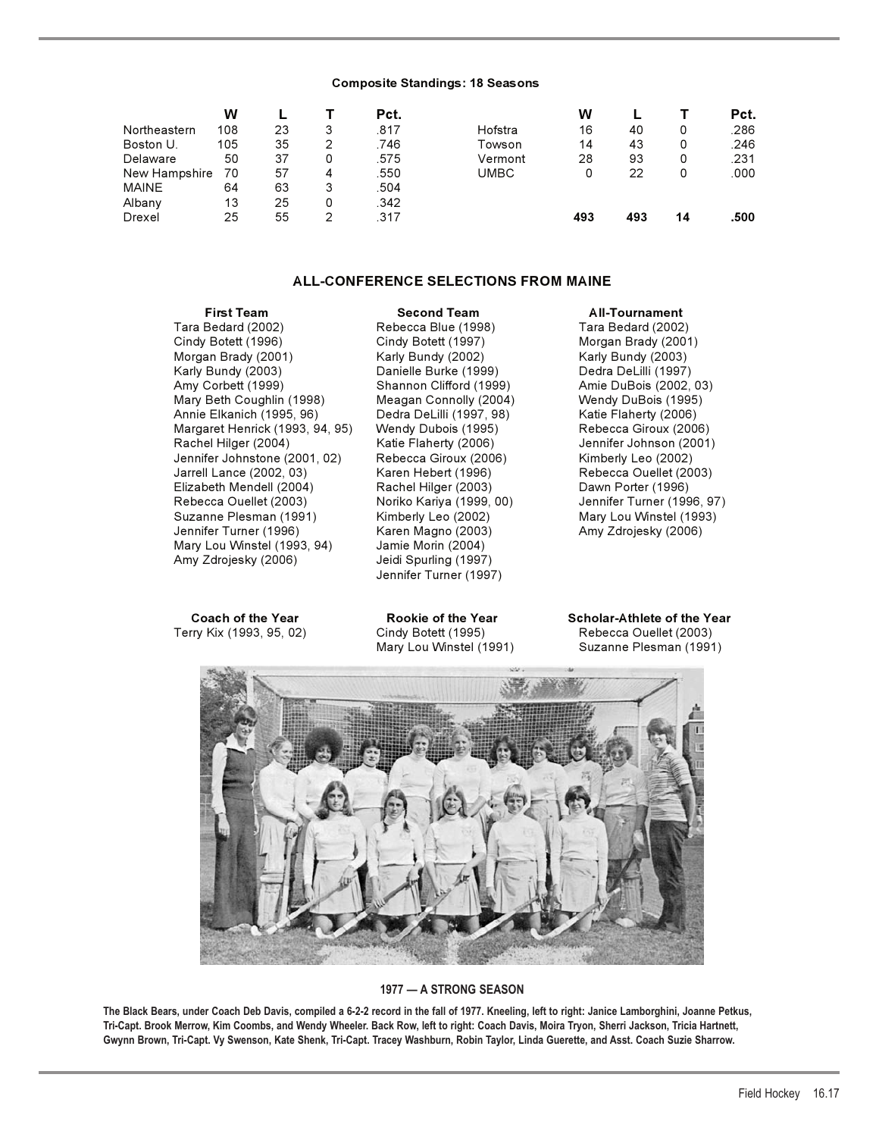#### **Composite Standings: 18 Seasons**

|               | W   |    |   | Pct. |         | W   |     |    | Pct. |
|---------------|-----|----|---|------|---------|-----|-----|----|------|
| Northeastern  | 108 | 23 | 3 | .817 | Hofstra | 16  | 40  |    | .286 |
| Boston U.     | 105 | 35 | 2 | .746 | Towson  | 14  | 43  | 0  | .246 |
| Delaware      | 50  | 37 | 0 | .575 | Vermont | 28  | 93  | 0  | .231 |
| New Hampshire | 70  | 57 | 4 | .550 | UMBC    |     | 22  | 0  | .000 |
| <b>MAINE</b>  | 64  | 63 | 3 | .504 |         |     |     |    |      |
| Albany        | 13  | 25 | 0 | .342 |         |     |     |    |      |
| Drexel        | 25  | 55 | 2 | .317 |         | 493 | 493 | 14 | .500 |

## **ALL-CONFERENCE SELECTIONS FROM MAINE**

**First Team Second Team All-Tournament**<br>Tara Bedard (2002) Rebecca Blue (1998) Tara Bedard (2002 Cindy Botett (1996) Cindy Botett (1997) Morgan Brady (2001) Morgan Brady (2001) Karly Bundy (2002) Karly Bundy (2003) Karly Bundy (2003) Danielle Burke (1999) Dedra DeLilli (1997) Amy Corbett (1999) Shannon Clifford (1999) Amie DuBois (2002, 03) Mary Beth Coughlin (1998) Meagan Connolly (2004) Wendy DuBois (1995) Annie Elkanich (1995, 96) Dedra DeLilli (1997, 98) Katie Flaherty (2006) Margaret Henrick (1993, 94, 95) Wendy Dubois (1995) Rebecca Giroux (2006) Rachel Hilger (2004) Katie Flaherty (2006) Jennifer Johnson (2001) Jennifer Johnstone (2001, 02) Rebecca Giroux (2006) Kimberly Leo (2002) Jarrell Lance (2002, 03) Karen Hebert (1996) Rebecca Ouellet (2003) Elizabeth Mendell (2004) Rachel Hilger (2003) Dawn Porter (1996) Rebecca Ouellet (2003) Noriko Kariya (1999, 00) Jennifer Turner (1996, 97) Suzanne Plesman (1991) Kimberly Leo (2002) Mary Lou Winstel (1993) Jennifer Turner (1996) Karen Magno (2003) Mary Lou Winstel (1993, 94) Jamie Morin (2004) Amy Zdrojesky (2006) Jeidi Spurling (1997)

Terry Kix (1993, 95, 02)

Tara Bedard (2002) Rebecca Blue (1998) Tara Bedard (2002) Jennifer Turner (1997)

**Coach of the Year Coach of the Year Scholar-Athlete of the Year**<br> **Rebecca Ouellet (2003)** Cindy Botett (1995) Controlled (2003) Mary Lou Winstel (1991) Suzanne Plesman (1991)



## **1977 — A STRONG SEASON**

**The Black Bears, under Coach Deb Davis, compiled a 6-2-2 record in the fall of 1977. Kneeling, left to right: Janice Lamborghini, Joanne Petkus, Tri-Capt. Brook Merrow, Kim Coombs, and Wendy Wheeler. Back Row, left to right: Coach Davis, Moira Tryon, Sherri Jackson, Tricia Hartnett, Gwynn Brown, Tri-Capt. Vy Swenson, Kate Shenk, Tri-Capt. Tracey Washburn, Robin Taylor, Linda Guerette, and Asst. Coach Suzie Sharrow.**